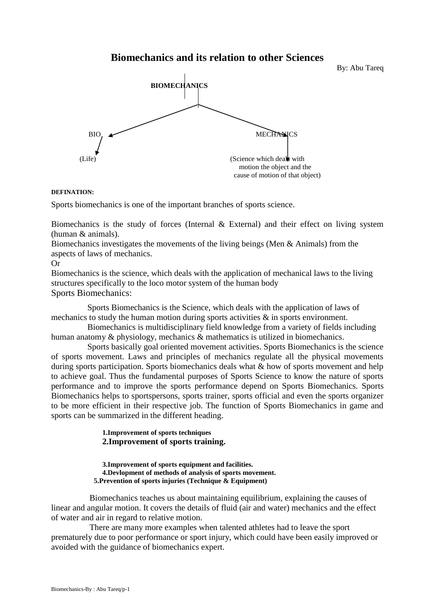# **Biomechanics and its relation to other Sciences**

By: Abu Tareq



### **DEFINATION:**

Sports biomechanics is one of the important branches of sports science.

Biomechanics is the study of forces (Internal  $\&$  External) and their effect on living system (human & animals).

Biomechanics investigates the movements of the living beings (Men & Animals) from the aspects of laws of mechanics.

Or

Biomechanics is the science, which deals with the application of mechanical laws to the living structures specifically to the loco motor system of the human body Sports Biomechanics:

 Sports Biomechanics is the Science, which deals with the application of laws of mechanics to study the human motion during sports activities & in sports environment.

 Biomechanics is multidisciplinary field knowledge from a variety of fields including human anatomy & physiology, mechanics & mathematics is utilized in biomechanics.

 Sports basically goal oriented movement activities. Sports Biomechanics is the science of sports movement. Laws and principles of mechanics regulate all the physical movements during sports participation. Sports biomechanics deals what & how of sports movement and help to achieve goal. Thus the fundamental purposes of Sports Science to know the nature of sports performance and to improve the sports performance depend on Sports Biomechanics. Sports Biomechanics helps to sportspersons, sports trainer, sports official and even the sports organizer to be more efficient in their respective job. The function of Sports Biomechanics in game and sports can be summarized in the different heading.

### **1.Improvement of sports techniques 2.Improvement of sports training.**

**3.Improvement of sports equipment and facilities. 4.Devlopment of methods of analysis of sports movement. 5.Prevention of sports injuries (Technique & Equipment)**

 Biomechanics teaches us about maintaining equilibrium, explaining the causes of linear and angular motion. It covers the details of fluid (air and water) mechanics and the effect of water and air in regard to relative motion.

 There are many more examples when talented athletes had to leave the sport prematurely due to poor performance or sport injury, which could have been easily improved or avoided with the guidance of biomechanics expert.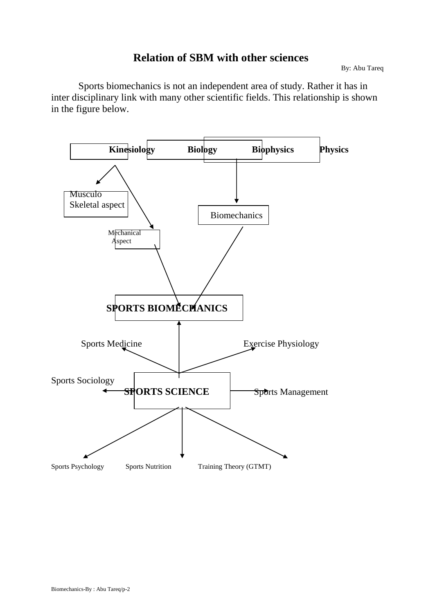# **Relation of SBM with other sciences**

By: Abu Tareq

 Sports biomechanics is not an independent area of study. Rather it has in inter disciplinary link with many other scientific fields. This relationship is shown in the figure below.

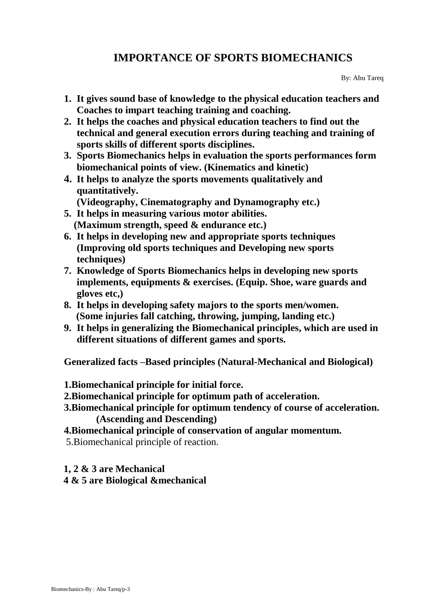# **IMPORTANCE OF SPORTS BIOMECHANICS**

- **1. It gives sound base of knowledge to the physical education teachers and Coaches to impart teaching training and coaching.**
- **2. It helps the coaches and physical education teachers to find out the technical and general execution errors during teaching and training of sports skills of different sports disciplines.**
- **3. Sports Biomechanics helps in evaluation the sports performances form biomechanical points of view. (Kinematics and kinetic)**
- **4. It helps to analyze the sports movements qualitatively and quantitatively.**

**(Videography, Cinematography and Dynamography etc.)**

- **5. It helps in measuring various motor abilities. (Maximum strength, speed & endurance etc.)**
- **6. It helps in developing new and appropriate sports techniques (Improving old sports techniques and Developing new sports techniques)**
- **7. Knowledge of Sports Biomechanics helps in developing new sports implements, equipments & exercises. (Equip. Shoe, ware guards and gloves etc,)**
- **8. It helps in developing safety majors to the sports men/women. (Some injuries fall catching, throwing, jumping, landing etc.)**
- **9. It helps in generalizing the Biomechanical principles, which are used in different situations of different games and sports.**

**Generalized facts –Based principles (Natural-Mechanical and Biological)**

**1.Biomechanical principle for initial force.**

- **2.Biomechanical principle for optimum path of acceleration.**
- **3.Biomechanical principle for optimum tendency of course of acceleration. (Ascending and Descending)**
- **4.Biomechanical principle of conservation of angular momentum.**

5.Biomechanical principle of reaction.

 **1, 2 & 3 are Mechanical** 

 **4 & 5 are Biological &mechanical**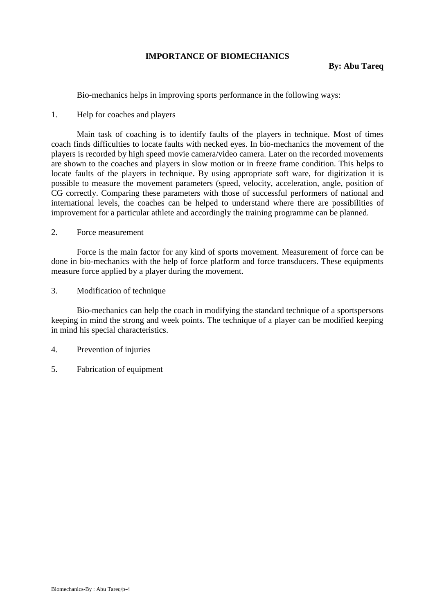# **IMPORTANCE OF BIOMECHANICS**

# **By: Abu Tareq**

Bio-mechanics helps in improving sports performance in the following ways:

## 1. Help for coaches and players

Main task of coaching is to identify faults of the players in technique. Most of times coach finds difficulties to locate faults with necked eyes. In bio-mechanics the movement of the players is recorded by high speed movie camera/video camera. Later on the recorded movements are shown to the coaches and players in slow motion or in freeze frame condition. This helps to locate faults of the players in technique. By using appropriate soft ware, for digitization it is possible to measure the movement parameters (speed, velocity, acceleration, angle, position of CG correctly. Comparing these parameters with those of successful performers of national and international levels, the coaches can be helped to understand where there are possibilities of improvement for a particular athlete and accordingly the training programme can be planned.

# 2. Force measurement

Force is the main factor for any kind of sports movement. Measurement of force can be done in bio-mechanics with the help of force platform and force transducers. These equipments measure force applied by a player during the movement.

3. Modification of technique

Bio-mechanics can help the coach in modifying the standard technique of a sportspersons keeping in mind the strong and week points. The technique of a player can be modified keeping in mind his special characteristics.

- 4. Prevention of injuries
- 5. Fabrication of equipment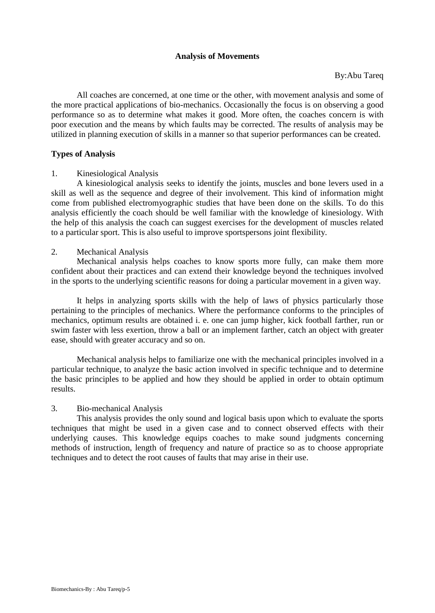# **Analysis of Movements**

All coaches are concerned, at one time or the other, with movement analysis and some of the more practical applications of bio-mechanics. Occasionally the focus is on observing a good performance so as to determine what makes it good. More often, the coaches concern is with poor execution and the means by which faults may be corrected. The results of analysis may be utilized in planning execution of skills in a manner so that superior performances can be created.

# **Types of Analysis**

# 1. Kinesiological Analysis

A kinesiological analysis seeks to identify the joints, muscles and bone levers used in a skill as well as the sequence and degree of their involvement. This kind of information might come from published electromyographic studies that have been done on the skills. To do this analysis efficiently the coach should be well familiar with the knowledge of kinesiology. With the help of this analysis the coach can suggest exercises for the development of muscles related to a particular sport. This is also useful to improve sportspersons joint flexibility.

# 2. Mechanical Analysis

Mechanical analysis helps coaches to know sports more fully, can make them more confident about their practices and can extend their knowledge beyond the techniques involved in the sports to the underlying scientific reasons for doing a particular movement in a given way.

It helps in analyzing sports skills with the help of laws of physics particularly those pertaining to the principles of mechanics. Where the performance conforms to the principles of mechanics, optimum results are obtained i. e. one can jump higher, kick football farther, run or swim faster with less exertion, throw a ball or an implement farther, catch an object with greater ease, should with greater accuracy and so on.

Mechanical analysis helps to familiarize one with the mechanical principles involved in a particular technique, to analyze the basic action involved in specific technique and to determine the basic principles to be applied and how they should be applied in order to obtain optimum results.

# 3. Bio-mechanical Analysis

This analysis provides the only sound and logical basis upon which to evaluate the sports techniques that might be used in a given case and to connect observed effects with their underlying causes. This knowledge equips coaches to make sound judgments concerning methods of instruction, length of frequency and nature of practice so as to choose appropriate techniques and to detect the root causes of faults that may arise in their use.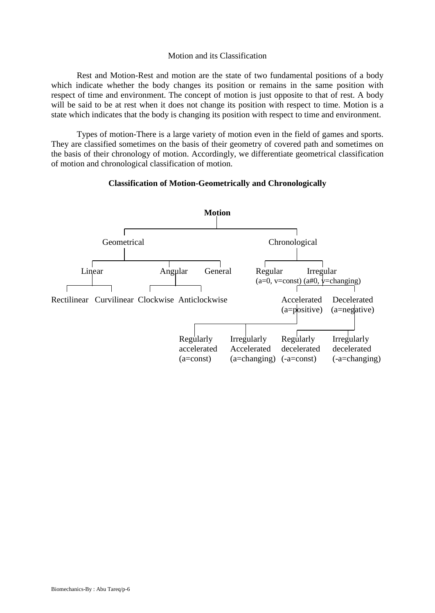# Motion and its Classification

Rest and Motion-Rest and motion are the state of two fundamental positions of a body which indicate whether the body changes its position or remains in the same position with respect of time and environment. The concept of motion is just opposite to that of rest. A body will be said to be at rest when it does not change its position with respect to time. Motion is a state which indicates that the body is changing its position with respect to time and environment.

Types of motion-There is a large variety of motion even in the field of games and sports. They are classified sometimes on the basis of their geometry of covered path and sometimes on the basis of their chronology of motion. Accordingly, we differentiate geometrical classification of motion and chronological classification of motion.

# **Classification of Motion-Geometrically and Chronologically**

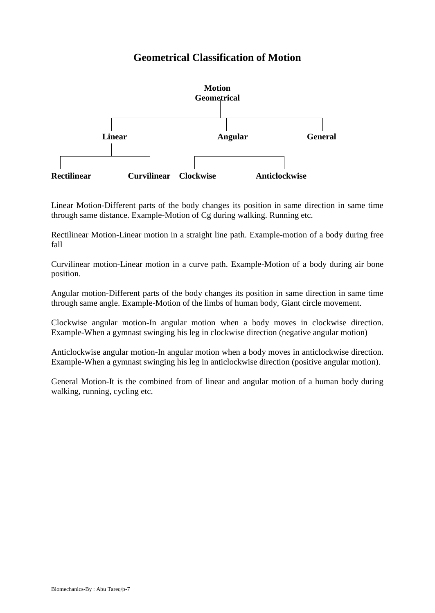# **Geometrical Classification of Motion**



Linear Motion-Different parts of the body changes its position in same direction in same time through same distance. Example-Motion of Cg during walking. Running etc.

Rectilinear Motion-Linear motion in a straight line path. Example-motion of a body during free fall

Curvilinear motion-Linear motion in a curve path. Example-Motion of a body during air bone position.

Angular motion-Different parts of the body changes its position in same direction in same time through same angle. Example-Motion of the limbs of human body, Giant circle movement.

Clockwise angular motion-In angular motion when a body moves in clockwise direction. Example-When a gymnast swinging his leg in clockwise direction (negative angular motion)

Anticlockwise angular motion-In angular motion when a body moves in anticlockwise direction. Example-When a gymnast swinging his leg in anticlockwise direction (positive angular motion).

General Motion-It is the combined from of linear and angular motion of a human body during walking, running, cycling etc.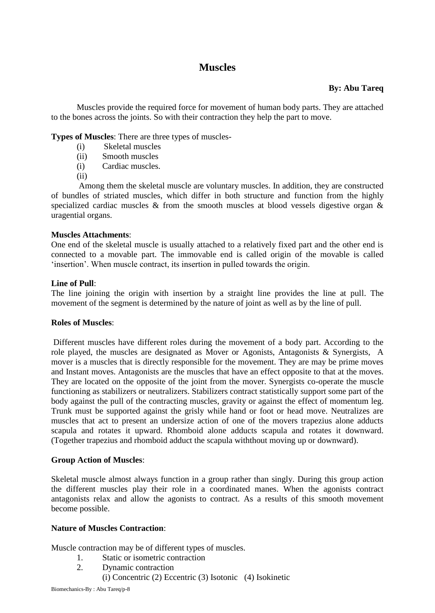# **Muscles**

# **By: Abu Tareq**

Muscles provide the required force for movement of human body parts. They are attached to the bones across the joints. So with their contraction they help the part to move.

**Types of Muscles**: There are three types of muscles-

- (i) Skeletal muscles
- (ii) Smooth muscles
- (i) Cardiac muscles.
- (ii)

Among them the skeletal muscle are voluntary muscles. In addition, they are constructed of bundles of striated muscles, which differ in both structure and function from the highly specialized cardiac muscles & from the smooth muscles at blood vessels digestive organ & uragential organs.

# **Muscles Attachments**:

One end of the skeletal muscle is usually attached to a relatively fixed part and the other end is connected to a movable part. The immovable end is called origin of the movable is called 'insertion'. When muscle contract, its insertion in pulled towards the origin.

# **Line of Pull**:

The line joining the origin with insertion by a straight line provides the line at pull. The movement of the segment is determined by the nature of joint as well as by the line of pull.

# **Roles of Muscles**:

Different muscles have different roles during the movement of a body part. According to the role played, the muscles are designated as Mover or Agonists, Antagonists & Synergists, A mover is a muscles that is directly responsible for the movement. They are may be prime moves and Instant moves. Antagonists are the muscles that have an effect opposite to that at the moves. They are located on the opposite of the joint from the mover. Synergists co-operate the muscle functioning as stabilizers or neutralizers. Stabilizers contract statistically support some part of the body against the pull of the contracting muscles, gravity or against the effect of momentum leg. Trunk must be supported against the grisly while hand or foot or head move. Neutralizes are muscles that act to present an undersize action of one of the movers trapezius alone adducts scapula and rotates it upward. Rhomboid alone adducts scapula and rotates it downward. (Together trapezius and rhomboid adduct the scapula withthout moving up or downward).

# **Group Action of Muscles**:

Skeletal muscle almost always function in a group rather than singly. During this group action the different muscles play their role in a coordinated manes. When the agonists contract antagonists relax and allow the agonists to contract. As a results of this smooth movement become possible.

# **Nature of Muscles Contraction**:

Muscle contraction may be of different types of muscles.

- 1. Static or isometric contraction
- 2. Dynamic contraction
	- (i) Concentric (2) Eccentric (3) Isotonic (4) Isokinetic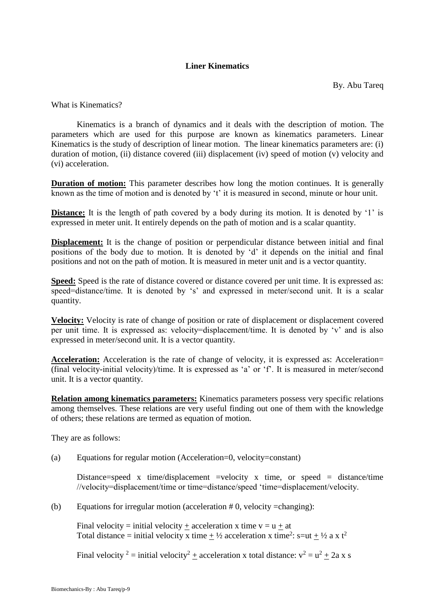# **Liner Kinematics**

By. Abu Tareq

What is Kinematics?

Kinematics is a branch of dynamics and it deals with the description of motion. The parameters which are used for this purpose are known as kinematics parameters. Linear Kinematics is the study of description of linear motion. The linear kinematics parameters are: (i) duration of motion, (ii) distance covered (iii) displacement (iv) speed of motion (v) velocity and (vi) acceleration.

**Duration of motion:** This parameter describes how long the motion continues. It is generally known as the time of motion and is denoted by 't' it is measured in second, minute or hour unit.

**Distance:** It is the length of path covered by a body during its motion. It is denoted by '1' is expressed in meter unit. It entirely depends on the path of motion and is a scalar quantity.

**Displacement:** It is the change of position or perpendicular distance between initial and final positions of the body due to motion. It is denoted by 'd' it depends on the initial and final positions and not on the path of motion. It is measured in meter unit and is a vector quantity.

Speed: Speed is the rate of distance covered or distance covered per unit time. It is expressed as: speed=distance/time. It is denoted by 's' and expressed in meter/second unit. It is a scalar quantity.

**Velocity:** Velocity is rate of change of position or rate of displacement or displacement covered per unit time. It is expressed as: velocity=displacement/time. It is denoted by 'v' and is also expressed in meter/second unit. It is a vector quantity.

**Acceleration:** Acceleration is the rate of change of velocity, it is expressed as: Acceleration= (final velocity-initial velocity)/time. It is expressed as 'a' or 'f'. It is measured in meter/second unit. It is a vector quantity.

**Relation among kinematics parameters:** Kinematics parameters possess very specific relations among themselves. These relations are very useful finding out one of them with the knowledge of others; these relations are termed as equation of motion.

They are as follows:

(a) Equations for regular motion (Acceleration=0, velocity=constant)

Distance=speed x time/displacement =velocity x time, or speed = distance/time //velocity=displacement/time or time=distance/speed 'time=displacement/velocity.

(b) Equations for irregular motion (acceleration  $#0$ , velocity =changing):

Final velocity = initial velocity  $\pm$  acceleration x time  $v = u + at$ Total distance = initial velocity x time  $\pm \frac{1}{2}$  acceleration x time<sup>2</sup>: s=ut  $\pm \frac{1}{2}$  a x t<sup>2</sup>

Final velocity <sup>2</sup> = initial velocity<sup>2</sup>  $\pm$  acceleration x total distance:  $v^2 = u^2 \pm 2a$  x s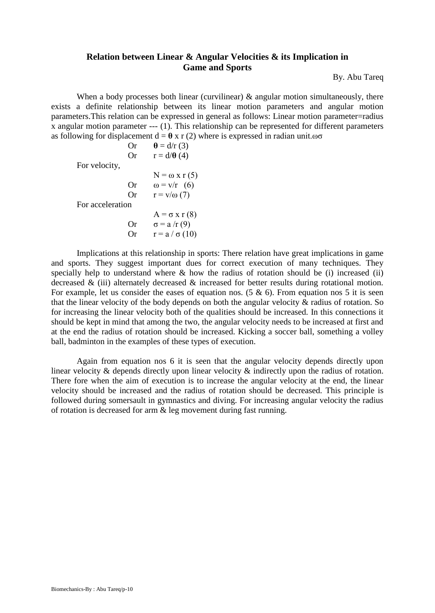# **Relation between Linear & Angular Velocities & its Implication in Game and Sports**

By. Abu Tareq

When a body processes both linear (curvilinear)  $\&$  angular motion simultaneously, there exists a definite relationship between its linear motion parameters and angular motion parameters.This relation can be expressed in general as follows: Linear motion parameter=radius x angular motion parameter --- (1). This relationship can be represented for different parameters as following for displacement  $d = \theta \times r$  (2) where is expressed in radian unit.ωσ

For velocity,

|                  |     | $N = \omega x r(5)$   |
|------------------|-----|-----------------------|
|                  | ()r | $ω = v/r$ (6)         |
|                  | Оr  | $r = v/\omega(7)$     |
| For acceleration |     |                       |
|                  |     | $A = \sigma x r(8)$   |
|                  | ()r | $\sigma$ = a /r (9)   |
|                  | ()r | $r = a / \sigma (10)$ |
|                  |     |                       |

Or  $\theta = d/r(3)$ Or  $r = d/\theta$  (4)

Implications at this relationship in sports: There relation have great implications in game and sports. They suggest important dues for correct execution of many techniques. They specially help to understand where  $\&$  how the radius of rotation should be (i) increased (ii) decreased & (iii) alternately decreased & increased for better results during rotational motion. For example, let us consider the eases of equation nos. (5 & 6). From equation nos 5 it is seen that the linear velocity of the body depends on both the angular velocity & radius of rotation. So for increasing the linear velocity both of the qualities should be increased. In this connections it should be kept in mind that among the two, the angular velocity needs to be increased at first and at the end the radius of rotation should be increased. Kicking a soccer ball, something a volley ball, badminton in the examples of these types of execution.

Again from equation nos 6 it is seen that the angular velocity depends directly upon linear velocity & depends directly upon linear velocity & indirectly upon the radius of rotation. There fore when the aim of execution is to increase the angular velocity at the end, the linear velocity should be increased and the radius of rotation should be decreased. This principle is followed during somersault in gymnastics and diving. For increasing angular velocity the radius of rotation is decreased for arm & leg movement during fast running.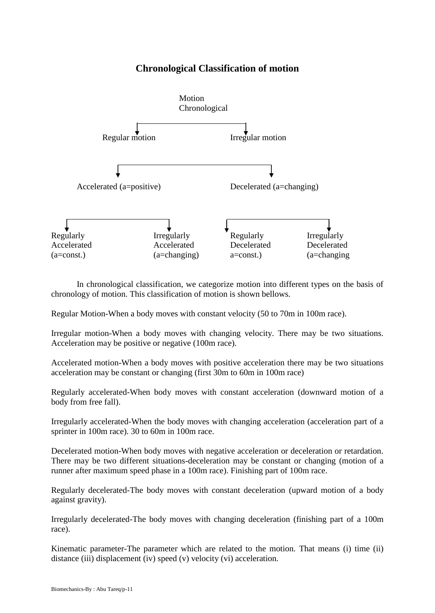# **Chronological Classification of motion**



In chronological classification, we categorize motion into different types on the basis of chronology of motion. This classification of motion is shown bellows.

Regular Motion-When a body moves with constant velocity (50 to 70m in 100m race).

Irregular motion-When a body moves with changing velocity. There may be two situations. Acceleration may be positive or negative (100m race).

Accelerated motion-When a body moves with positive acceleration there may be two situations acceleration may be constant or changing (first 30m to 60m in 100m race)

Regularly accelerated-When body moves with constant acceleration (downward motion of a body from free fall).

Irregularly accelerated-When the body moves with changing acceleration (acceleration part of a sprinter in 100m race). 30 to 60m in 100m race.

Decelerated motion-When body moves with negative acceleration or deceleration or retardation. There may be two different situations-deceleration may be constant or changing (motion of a runner after maximum speed phase in a 100m race). Finishing part of 100m race.

Regularly decelerated-The body moves with constant deceleration (upward motion of a body against gravity).

Irregularly decelerated-The body moves with changing deceleration (finishing part of a 100m race).

Kinematic parameter-The parameter which are related to the motion. That means (i) time (ii) distance (iii) displacement (iv) speed (v) velocity (vi) acceleration.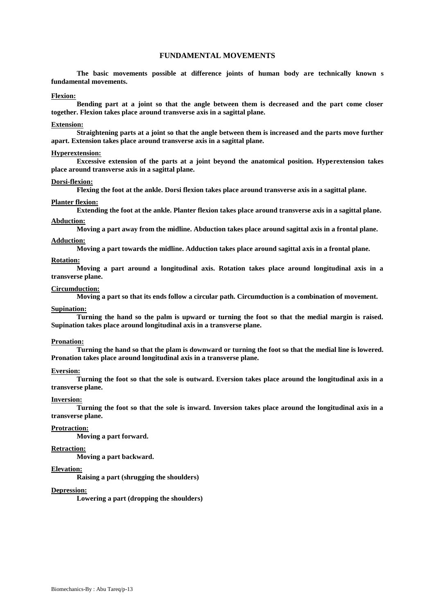#### **FUNDAMENTAL MOVEMENTS**

**The basic movements possible at difference joints of human body are technically known s fundamental movements.** 

#### **Flexion:**

**Bending part at a joint so that the angle between them is decreased and the part come closer together. Flexion takes place around transverse axis in a sagittal plane.** 

#### **Extension:**

**Straightening parts at a joint so that the angle between them is increased and the parts move further apart. Extension takes place around transverse axis in a sagittal plane.** 

#### **Hyperextension:**

**Excessive extension of the parts at a joint beyond the anatomical position. Hyperextension takes place around transverse axis in a sagittal plane.** 

#### **Dorsi-flexion:**

**Flexing the foot at the ankle. Dorsi flexion takes place around transverse axis in a sagittal plane.** 

#### **Planter flexion:**

**Extending the foot at the ankle. Planter flexion takes place around transverse axis in a sagittal plane.** 

#### **Abduction:**

**Moving a part away from the midline. Abduction takes place around sagittal axis in a frontal plane.** 

#### **Adduction:**

**Moving a part towards the midline. Adduction takes place around sagittal axis in a frontal plane.** 

#### **Rotation:**

**Moving a part around a longitudinal axis. Rotation takes place around longitudinal axis in a transverse plane.** 

#### **Circumduction:**

**Moving a part so that its ends follow a circular path. Circumduction is a combination of movement.** 

#### **Supination:**

**Turning the hand so the palm is upward or turning the foot so that the medial margin is raised. Supination takes place around longitudinal axis in a transverse plane.** 

#### **Pronation:**

**Turning the hand so that the plam is downward or turning the foot so that the medial line is lowered. Pronation takes place around longitudinal axis in a transverse plane.** 

#### **Eversion:**

**Turning the foot so that the sole is outward. Eversion takes place around the longitudinal axis in a transverse plane.** 

#### **Inversion:**

**Turning the foot so that the sole is inward. Inversion takes place around the longitudinal axis in a transverse plane.** 

#### **Protraction:**

**Moving a part forward.** 

#### **Retraction:**

**Moving a part backward.** 

#### **Elevation:**

**Raising a part (shrugging the shoulders)**

#### **Depression:**

**Lowering a part (dropping the shoulders)**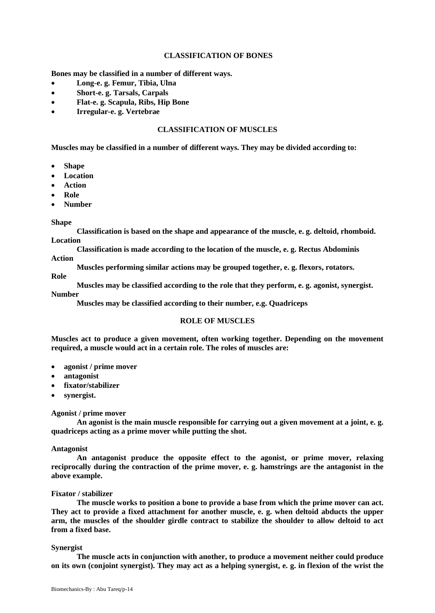### **CLASSIFICATION OF BONES**

**Bones may be classified in a number of different ways.**

- **Long-e. g. Femur, Tibia, Ulna**
- **Short-e. g. Tarsals, Carpals**
- **Flat-e. g. Scapula, Ribs, Hip Bone**
- **Irregular-e. g. Vertebrae**

#### **CLASSIFICATION OF MUSCLES**

**Muscles may be classified in a number of different ways. They may be divided according to:**

- **Shape**
- **Location**
- **Action**
- **Role**
- **Number**

#### **Shape**

**Classification is based on the shape and appearance of the muscle, e. g. deltoid, rhomboid. Location** 

**Classification is made according to the location of the muscle, e. g. Rectus Abdominis**

**Action** 

**Muscles performing similar actions may be grouped together, e. g. flexors, rotators.** 

**Role**

**Muscles may be classified according to the role that they perform, e. g. agonist, synergist. Number** 

**Muscles may be classified according to their number, e.g. Quadriceps**

#### **ROLE OF MUSCLES**

**Muscles act to produce a given movement, often working together. Depending on the movement required, a muscle would act in a certain role. The roles of muscles are:** 

- **agonist / prime mover**
- **antagonist**
- **fixator/stabilizer**
- **synergist.**

#### **Agonist / prime mover**

**An agonist is the main muscle responsible for carrying out a given movement at a joint, e. g. quadriceps acting as a prime mover while putting the shot.** 

#### **Antagonist**

**An antagonist produce the opposite effect to the agonist, or prime mover, relaxing reciprocally during the contraction of the prime mover, e. g. hamstrings are the antagonist in the above example.** 

#### **Fixator / stabilizer**

**The muscle works to position a bone to provide a base from which the prime mover can act. They act to provide a fixed attachment for another muscle, e. g. when deltoid abducts the upper arm, the muscles of the shoulder girdle contract to stabilize the shoulder to allow deltoid to act from a fixed base.** 

#### **Synergist**

**The muscle acts in conjunction with another, to produce a movement neither could produce on its own (conjoint synergist). They may act as a helping synergist, e. g. in flexion of the wrist the**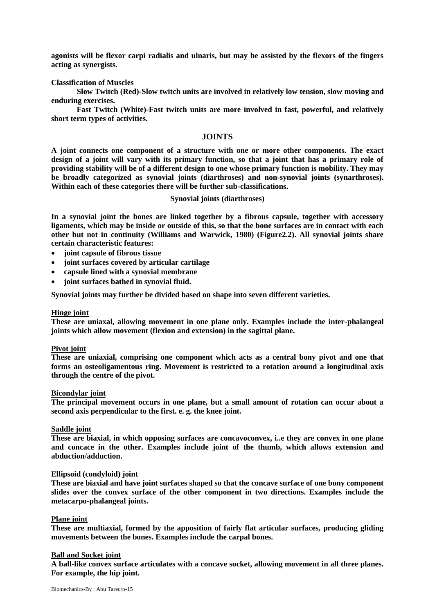**agonists will be flexor carpi radialis and ulnaris, but may be assisted by the flexors of the fingers acting as synergists.**

**Classification of Muscles**

**Slow Twitch (Red)-Slow twitch units are involved in relatively low tension, slow moving and enduring exercises.** 

**Fast Twitch (White)-Fast twitch units are more involved in fast, powerful, and relatively short term types of activities.** 

#### **JOINTS**

**A joint connects one component of a structure with one or more other components. The exact design of a joint will vary with its primary function, so that a joint that has a primary role of providing stability will be of a different design to one whose primary function is mobility. They may be broadly categorized as synovial joints (diarthroses) and non-synovial joints (synarthroses). Within each of these categories there will be further sub-classifications.** 

### **Synovial joints (diarthroses)**

**In a synovial joint the bones are linked together by a fibrous capsule, together with accessory ligaments, which may be inside or outside of this, so that the bone surfaces are in contact with each other but not in continuity (Williams and Warwick, 1980) (Figure2.2). All synovial joints share certain characteristic features:** 

- **joint capsule of fibrous tissue**
- **joint surfaces covered by articular cartilage**
- **capsule lined with a synovial membrane**
- **joint surfaces bathed in synovial fluid.**

**Synovial joints may further be divided based on shape into seven different varieties.** 

### **Hinge joint**

**These are uniaxal, allowing movement in one plane only. Examples include the inter-phalangeal joints which allow movement (flexion and extension) in the sagittal plane.** 

### **Pivot joint**

**These are uniaxial, comprising one component which acts as a central bony pivot and one that forms an osteoligamentous ring. Movement is restricted to a rotation around a longitudinal axis through the centre of the pivot.** 

#### **Bicondylar joint**

**The principal movement occurs in one plane, but a small amount of rotation can occur about a second axis perpendicular to the first. e. g. the knee joint.** 

## **Saddle joint**

**These are biaxial, in which opposing surfaces are concavoconvex, i..e they are convex in one plane and concace in the other. Examples include joint of the thumb, which allows extension and abduction/adduction.** 

#### **Ellipsoid (condyloid) joint**

**These are biaxial and have joint surfaces shaped so that the concave surface of one bony component slides over the convex surface of the other component in two directions. Examples include the metacarpo-phalangeal joints.** 

#### **Plane joint**

**These are multiaxial, formed by the apposition of fairly flat articular surfaces, producing gliding movements between the bones. Examples include the carpal bones.** 

#### **Ball and Socket joint**

**A ball-like convex surface articulates with a concave socket, allowing movement in all three planes. For example, the hip joint.**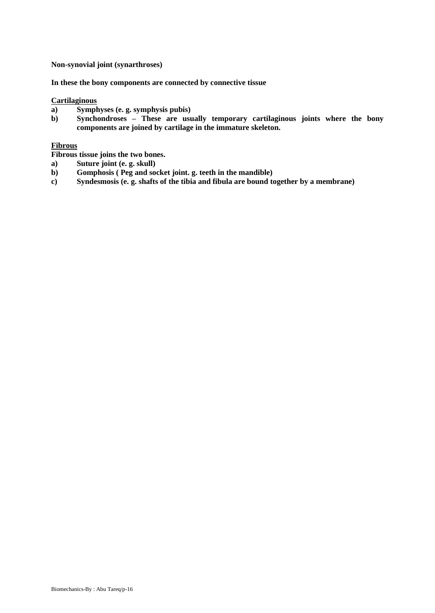### **Non-synovial joint (synarthroses)**

**In these the bony components are connected by connective tissue**

### **Cartilaginous**

- **a) Symphyses (e. g. symphysis pubis)**
- **b) Synchondroses – These are usually temporary cartilaginous joints where the bony components are joined by cartilage in the immature skeleton.**

### **Fibrous**

**Fibrous tissue joins the two bones.**

- **a) Suture joint (e. g. skull)**
- **b) Gomphosis ( Peg and socket joint. g. teeth in the mandible)**
- **c) Syndesmosis (e. g. shafts of the tibia and fibula are bound together by a membrane)**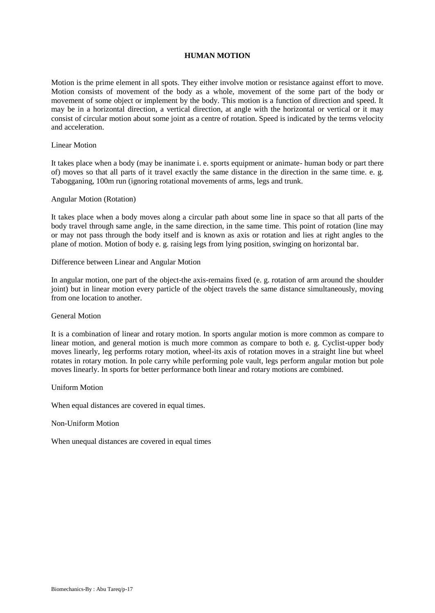### **HUMAN MOTION**

Motion is the prime element in all spots. They either involve motion or resistance against effort to move. Motion consists of movement of the body as a whole, movement of the some part of the body or movement of some object or implement by the body. This motion is a function of direction and speed. It may be in a horizontal direction, a vertical direction, at angle with the horizontal or vertical or it may consist of circular motion about some joint as a centre of rotation. Speed is indicated by the terms velocity and acceleration.

### Linear Motion

It takes place when a body (may be inanimate i. e. sports equipment or animate- human body or part there of) moves so that all parts of it travel exactly the same distance in the direction in the same time. e. g. Tabogganing, 100m run (ignoring rotational movements of arms, legs and trunk.

### Angular Motion (Rotation)

It takes place when a body moves along a circular path about some line in space so that all parts of the body travel through same angle, in the same direction, in the same time. This point of rotation (line may or may not pass through the body itself and is known as axis or rotation and lies at right angles to the plane of motion. Motion of body e. g. raising legs from lying position, swinging on horizontal bar.

Difference between Linear and Angular Motion

In angular motion, one part of the object-the axis-remains fixed (e. g. rotation of arm around the shoulder joint) but in linear motion every particle of the object travels the same distance simultaneously, moving from one location to another.

### General Motion

It is a combination of linear and rotary motion. In sports angular motion is more common as compare to linear motion, and general motion is much more common as compare to both e. g. Cyclist-upper body moves linearly, leg performs rotary motion, wheel-its axis of rotation moves in a straight line but wheel rotates in rotary motion. In pole carry while performing pole vault, legs perform angular motion but pole moves linearly. In sports for better performance both linear and rotary motions are combined.

Uniform Motion

When equal distances are covered in equal times.

#### Non-Uniform Motion

When unequal distances are covered in equal times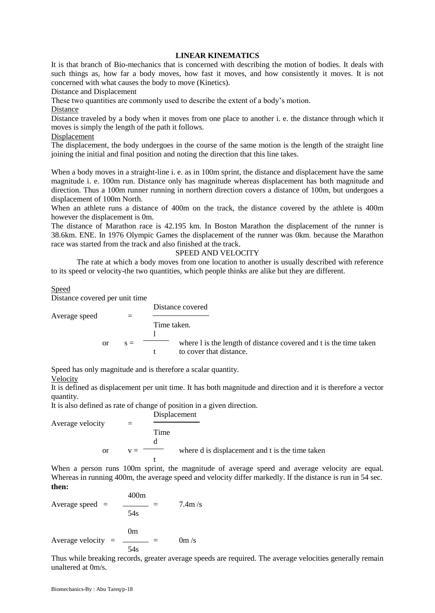### **LINEAR KINEMATICS**

It is that branch of Bio-mechanics that is concerned with describing the motion of bodies. It deals with such things as, how far a body moves, how fast it moves, and how consistently it moves. It is not concerned with what causes the body to move (Kinetics).

Distance and Displacement

These two quantities are commonly used to describe the extent of a body's motion.

Distance

Distance traveled by a body when it moves from one place to another i. e. the distance through which it moves is simply the length of the path it follows.

Displacement

The displacement, the body undergoes in the course of the same motion is the length of the straight line joining the initial and final position and noting the direction that this line takes.

When a body moves in a straight-line i. e. as in 100m sprint, the distance and displacement have the same magnitude i. e. 100m run. Distance only has magnitude whereas displacement has both magnitude and direction. Thus a 100m runner running in northern direction covers a distance of 100m, but undergoes a displacement of 100m North.

When an athlete runs a distance of 400m on the track, the distance covered by the athlete is 400m however the displacement is 0m.

The distance of Marathon race is 42.195 km. In Boston Marathon the displacement of the runner is 38.6km. ENE. In 1976 Olympic Games the displacement of the runner was 0km. because the Marathon race was started from the track and also finished at the track.

#### SPEED AND VELOCITY

The rate at which a body moves from one location to another is usually described with reference to its speed or velocity-the two quantities, which people thinks are alike but they are different.

#### **Speed**

Distance covered per unit time

Average speed =

$$
= \frac{Distance \ covered}{Time \ taken.}
$$
\nor

\n
$$
s = \frac{1}{t}
$$
\nwhere I is the length of distance covered and t is the time taken to cover that distance.

Speed has only magnitude and is therefore a scalar quantity.

Velocity

It is defined as displacement per unit time. It has both magnitude and direction and it is therefore a vector quantity.

It is also defined as rate of change of position in a given direction.

Displacement

$$
Average velocity =
$$

Time  $v = \frac{d}{dx}$ or  $v =$  where d is displacement and t is the time taken t

When a person runs 100m sprint, the magnitude of average speed and average velocity are equal. Whereas in running 400m, the average speed and velocity differ markedly. If the distance is run in 54 sec. **then:**

Average speed = 
$$
\frac{400 \text{m}}{54 \text{s}}
$$
 = 7.4 m/s  
\nAverage velocity =  $\frac{0 \text{m}}{54 \text{s}}$  = 0m/s

Thus while breaking records, greater average speeds are required. The average velocities generally remain unaltered at 0m/s.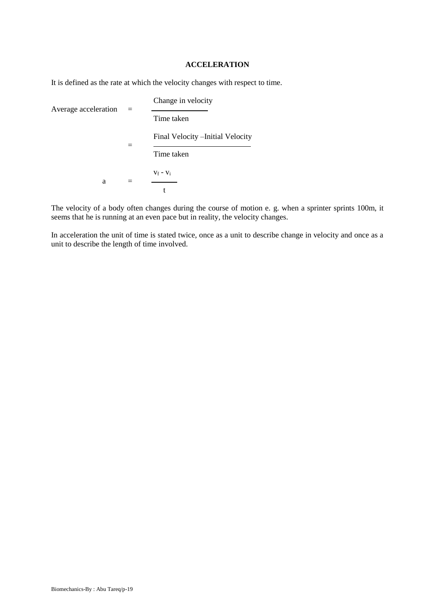## **ACCELERATION**

It is defined as the rate at which the velocity changes with respect to time.

|                      |     | Change in velocity                              |
|----------------------|-----|-------------------------------------------------|
| Average acceleration | $=$ | Time taken                                      |
|                      |     | Final Velocity - Initial Velocity<br>Time taken |
| a                    |     | $V_f - V_i$                                     |

The velocity of a body often changes during the course of motion e. g. when a sprinter sprints 100m, it seems that he is running at an even pace but in reality, the velocity changes.

In acceleration the unit of time is stated twice, once as a unit to describe change in velocity and once as a unit to describe the length of time involved.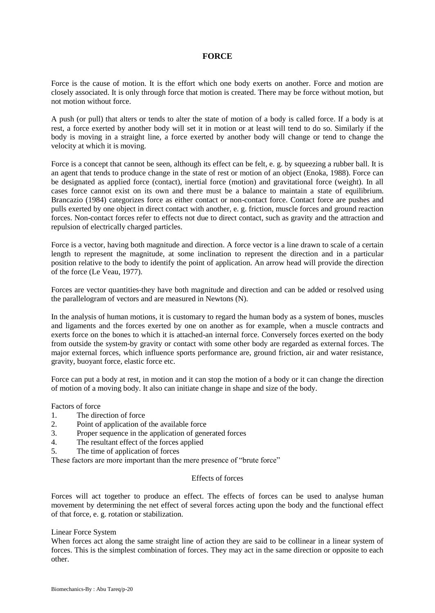# **FORCE**

Force is the cause of motion. It is the effort which one body exerts on another. Force and motion are closely associated. It is only through force that motion is created. There may be force without motion, but not motion without force.

A push (or pull) that alters or tends to alter the state of motion of a body is called force. If a body is at rest, a force exerted by another body will set it in motion or at least will tend to do so. Similarly if the body is moving in a straight line, a force exerted by another body will change or tend to change the velocity at which it is moving.

Force is a concept that cannot be seen, although its effect can be felt, e. g. by squeezing a rubber ball. It is an agent that tends to produce change in the state of rest or motion of an object (Enoka, 1988). Force can be designated as applied force (contact), inertial force (motion) and gravitational force (weight). In all cases force cannot exist on its own and there must be a balance to maintain a state of equilibrium. Brancazio (1984) categorizes force as either contact or non-contact force. Contact force are pushes and pulls exerted by one object in direct contact with another, e. g. friction, muscle forces and ground reaction forces. Non-contact forces refer to effects not due to direct contact, such as gravity and the attraction and repulsion of electrically charged particles.

Force is a vector, having both magnitude and direction. A force vector is a line drawn to scale of a certain length to represent the magnitude, at some inclination to represent the direction and in a particular position relative to the body to identify the point of application. An arrow head will provide the direction of the force (Le Veau, 1977).

Forces are vector quantities-they have both magnitude and direction and can be added or resolved using the parallelogram of vectors and are measured in Newtons (N).

In the analysis of human motions, it is customary to regard the human body as a system of bones, muscles and ligaments and the forces exerted by one on another as for example, when a muscle contracts and exerts force on the bones to which it is attached-an internal force. Conversely forces exerted on the body from outside the system-by gravity or contact with some other body are regarded as external forces. The major external forces, which influence sports performance are, ground friction, air and water resistance, gravity, buoyant force, elastic force etc.

Force can put a body at rest, in motion and it can stop the motion of a body or it can change the direction of motion of a moving body. It also can initiate change in shape and size of the body.

Factors of force

- 1. The direction of force
- 2. Point of application of the available force
- 3. Proper sequence in the application of generated forces
- 4. The resultant effect of the forces applied
- 5. The time of application of forces

These factors are more important than the mere presence of "brute force"

### Effects of forces

Forces will act together to produce an effect. The effects of forces can be used to analyse human movement by determining the net effect of several forces acting upon the body and the functional effect of that force, e. g. rotation or stabilization.

### Linear Force System

When forces act along the same straight line of action they are said to be collinear in a linear system of forces. This is the simplest combination of forces. They may act in the same direction or opposite to each other.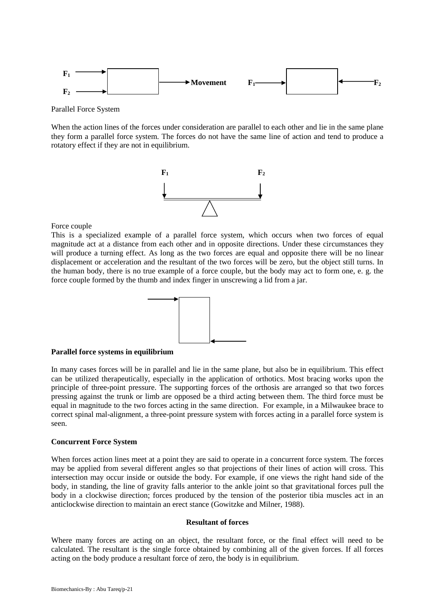

Parallel Force System

When the action lines of the forces under consideration are parallel to each other and lie in the same plane they form a parallel force system. The forces do not have the same line of action and tend to produce a rotatory effect if they are not in equilibrium.



#### Force couple

This is a specialized example of a parallel force system, which occurs when two forces of equal magnitude act at a distance from each other and in opposite directions. Under these circumstances they will produce a turning effect. As long as the two forces are equal and opposite there will be no linear displacement or acceleration and the resultant of the two forces will be zero, but the object still turns. In the human body, there is no true example of a force couple, but the body may act to form one, e. g. the force couple formed by the thumb and index finger in unscrewing a lid from a jar.



### **Parallel force systems in equilibrium**

In many cases forces will be in parallel and lie in the same plane, but also be in equilibrium. This effect can be utilized therapeutically, especially in the application of orthotics. Most bracing works upon the principle of three-point pressure. The supporting forces of the orthosis are arranged so that two forces pressing against the trunk or limb are opposed be a third acting between them. The third force must be equal in magnitude to the two forces acting in the same direction. For example, in a Milwaukee brace to correct spinal mal-alignment, a three-point pressure system with forces acting in a parallel force system is seen.

### **Concurrent Force System**

When forces action lines meet at a point they are said to operate in a concurrent force system. The forces may be applied from several different angles so that projections of their lines of action will cross. This intersection may occur inside or outside the body. For example, if one views the right hand side of the body, in standing, the line of gravity falls anterior to the ankle joint so that gravitational forces pull the body in a clockwise direction; forces produced by the tension of the posterior tibia muscles act in an anticlockwise direction to maintain an erect stance (Gowitzke and Milner, 1988).

#### **Resultant of forces**

Where many forces are acting on an object, the resultant force, or the final effect will need to be calculated. The resultant is the single force obtained by combining all of the given forces. If all forces acting on the body produce a resultant force of zero, the body is in equilibrium.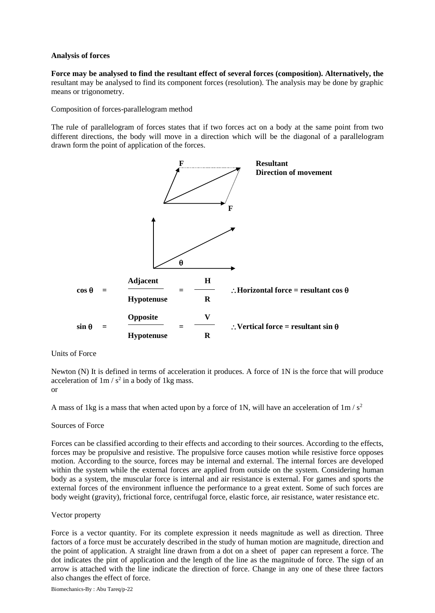### **Analysis of forces**

**Force may be analysed to find the resultant effect of several forces (composition). Alternatively, the**  resultant may be analysed to find its component forces (resolution). The analysis may be done by graphic means or trigonometry.

Composition of forces-parallelogram method

The rule of parallelogram of forces states that if two forces act on a body at the same point from two different directions, the body will move in a direction which will be the diagonal of a parallelogram drawn form the point of application of the forces.



### Units of Force

Newton (N) It is defined in terms of acceleration it produces. A force of 1N is the force that will produce acceleration of  $1m / s^2$  in a body of 1kg mass.

### or

A mass of 1kg is a mass that when acted upon by a force of 1N, will have an acceleration of  $1m/s^2$ 

### Sources of Force

Forces can be classified according to their effects and according to their sources. According to the effects, forces may be propulsive and resistive. The propulsive force causes motion while resistive force opposes motion. According to the source, forces may be internal and external. The internal forces are developed within the system while the external forces are applied from outside on the system. Considering human body as a system, the muscular force is internal and air resistance is external. For games and sports the external forces of the environment influence the performance to a great extent. Some of such forces are body weight (gravity), frictional force, centrifugal force, elastic force, air resistance, water resistance etc.

### Vector property

Force is a vector quantity. For its complete expression it needs magnitude as well as direction. Three factors of a force must be accurately described in the study of human motion are magnitude, direction and the point of application. A straight line drawn from a dot on a sheet of paper can represent a force. The dot indicates the pint of application and the length of the line as the magnitude of force. The sign of an arrow is attached with the line indicate the direction of force. Change in any one of these three factors also changes the effect of force.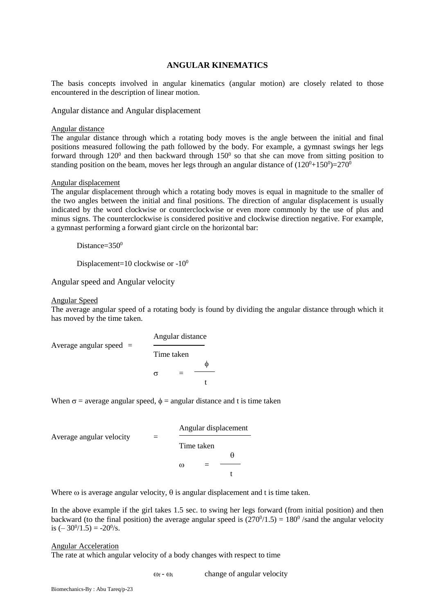# **ANGULAR KINEMATICS**

The basis concepts involved in angular kinematics (angular motion) are closely related to those encountered in the description of linear motion.

Angular distance and Angular displacement

### Angular distance

The angular distance through which a rotating body moves is the angle between the initial and final positions measured following the path followed by the body. For example, a gymnast swings her legs forward through  $120^{\circ}$  and then backward through  $150^{\circ}$  so that she can move from sitting position to standing position on the beam, moves her legs through an angular distance of  $(120^0 + 150^0) = 270^0$ 

### Angular displacement

The angular displacement through which a rotating body moves is equal in magnitude to the smaller of the two angles between the initial and final positions. The direction of angular displacement is usually indicated by the word clockwise or counterclockwise or even more commonly by the use of plus and minus signs. The counterclockwise is considered positive and clockwise direction negative. For example, a gymnast performing a forward giant circle on the horizontal bar:

Distance= $350^\circ$ 

Displacement=10 clockwise or  $-10<sup>0</sup>$ 

Angular speed and Angular velocity

### Angular Speed

The average angular speed of a rotating body is found by dividing the angular distance through which it has moved by the time taken.

| Average angular speed $=$ | Angular distance |            |  |
|---------------------------|------------------|------------|--|
|                           |                  | Time taken |  |
|                           |                  |            |  |
|                           | റ                |            |  |

When  $\sigma$  = average angular speed,  $\phi$  = angular distance and t is time taken

Average angular velocity  
\n
$$
= \frac{\text{Angular displacement}}{\text{Time taken}}
$$
\n
$$
\omega = \frac{\theta}{t}
$$

Where  $\omega$  is average angular velocity,  $\theta$  is angular displacement and t is time taken.

In the above example if the girl takes 1.5 sec. to swing her legs forward (from initial position) and then backward (to the final position) the average angular speed is  $(270^0/1.5) = 180^0$  /sand the angular velocity is  $(-30^0/1.5) = -20^0/s$ .

### Angular Acceleration

The rate at which angular velocity of a body changes with respect to time

 $\omega_f$  -  $\omega_i$  change of angular velocity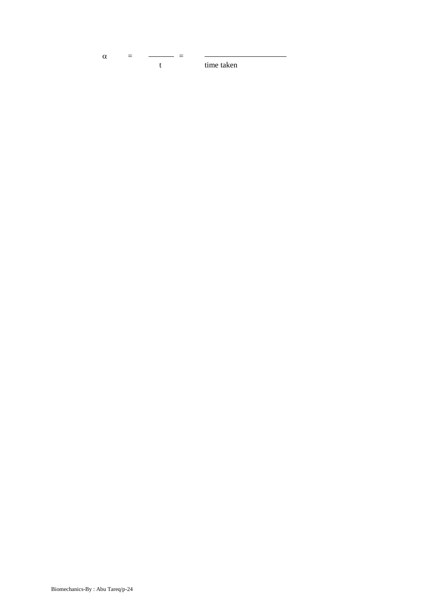$\begin{array}{cccc} \alpha & = & \frac{}{} & \frac{}{}& t \end{array}$ time taken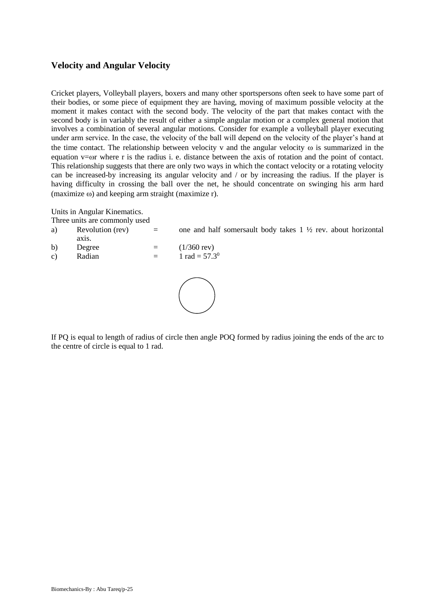# **Velocity and Angular Velocity**

Cricket players, Volleyball players, boxers and many other sportspersons often seek to have some part of their bodies, or some piece of equipment they are having, moving of maximum possible velocity at the moment it makes contact with the second body. The velocity of the part that makes contact with the second body is in variably the result of either a simple angular motion or a complex general motion that involves a combination of several angular motions. Consider for example a volleyball player executing under arm service. In the case, the velocity of the ball will depend on the velocity of the player's hand at the time contact. The relationship between velocity v and the angular velocity  $\omega$  is summarized in the equation  $v=0$  where r is the radius i. e. distance between the axis of rotation and the point of contact. This relationship suggests that there are only two ways in which the contact velocity or a rotating velocity can be increased-by increasing its angular velocity and / or by increasing the radius. If the player is having difficulty in crossing the ball over the net, he should concentrate on swinging his arm hard (maximize  $\omega$ ) and keeping arm straight (maximize r).

Units in Angular Kinematics.

Three units are commonly used

| a)           | Revolution (rev) | $\alpha = 1$       | one and half somersault body takes $1 \frac{1}{2}$ rev. about horizontal |
|--------------|------------------|--------------------|--------------------------------------------------------------------------|
|              | axis.            |                    |                                                                          |
| b)           | Degree           | $=$                | $(1/360 \text{ rev})$                                                    |
| $\mathbf{c}$ | Radian           | $\equiv$ 100 $\pm$ | 1 rad = $57.3^{\circ}$                                                   |
|              |                  |                    |                                                                          |
|              |                  |                    |                                                                          |
|              |                  |                    |                                                                          |

If PQ is equal to length of radius of circle then angle POQ formed by radius joining the ends of the arc to the centre of circle is equal to 1 rad.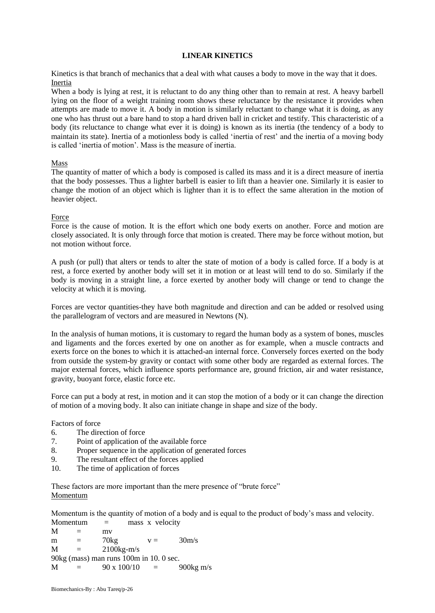### **LINEAR KINETICS**

Kinetics is that branch of mechanics that a deal with what causes a body to move in the way that it does. Inertia

When a body is lying at rest, it is reluctant to do any thing other than to remain at rest. A heavy barbell lying on the floor of a weight training room shows these reluctance by the resistance it provides when attempts are made to move it. A body in motion is similarly reluctant to change what it is doing, as any one who has thrust out a bare hand to stop a hard driven ball in cricket and testify. This characteristic of a body (its reluctance to change what ever it is doing) is known as its inertia (the tendency of a body to maintain its state). Inertia of a motionless body is called 'inertia of rest' and the inertia of a moving body is called 'inertia of motion'. Mass is the measure of inertia.

### Mass

The quantity of matter of which a body is composed is called its mass and it is a direct measure of inertia that the body possesses. Thus a lighter barbell is easier to lift than a heavier one. Similarly it is easier to change the motion of an object which is lighter than it is to effect the same alteration in the motion of heavier object.

### Force

Force is the cause of motion. It is the effort which one body exerts on another. Force and motion are closely associated. It is only through force that motion is created. There may be force without motion, but not motion without force.

A push (or pull) that alters or tends to alter the state of motion of a body is called force. If a body is at rest, a force exerted by another body will set it in motion or at least will tend to do so. Similarly if the body is moving in a straight line, a force exerted by another body will change or tend to change the velocity at which it is moving.

Forces are vector quantities-they have both magnitude and direction and can be added or resolved using the parallelogram of vectors and are measured in Newtons (N).

In the analysis of human motions, it is customary to regard the human body as a system of bones, muscles and ligaments and the forces exerted by one on another as for example, when a muscle contracts and exerts force on the bones to which it is attached-an internal force. Conversely forces exerted on the body from outside the system-by gravity or contact with some other body are regarded as external forces. The major external forces, which influence sports performance are, ground friction, air and water resistance, gravity, buoyant force, elastic force etc.

Force can put a body at rest, in motion and it can stop the motion of a body or it can change the direction of motion of a moving body. It also can initiate change in shape and size of the body.

### Factors of force

- 6. The direction of force
- 7. Point of application of the available force
- 8. Proper sequence in the application of generated forces
- 9. The resultant effect of the forces applied
- 10. The time of application of forces

These factors are more important than the mere presence of "brute force" Momentum

Momentum is the quantity of motion of a body and is equal to the product of body's mass and velocity. Momentum  $=$  mass x velocity

 $M = mV$ m =  $70\text{kg}$  v =  $30\text{m/s}$  $M = 2100$ kg-m/s 90kg (mass) man runs 100m in 10. 0 sec.  $M = 90 \times 100/10 = 900 \text{kg m/s}$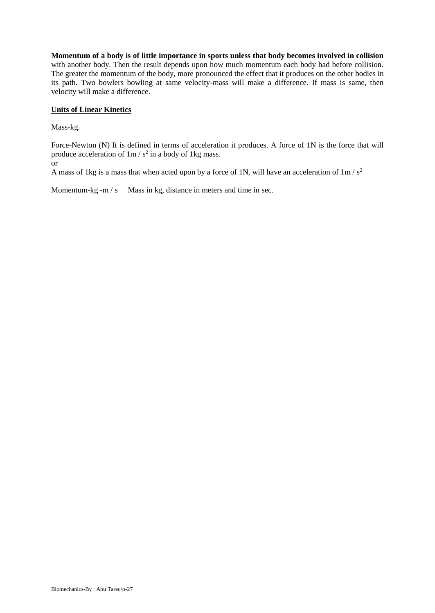**Momentum of a body is of little importance in sports unless that body becomes involved in collision**  with another body. Then the result depends upon how much momentum each body had before collision. The greater the momentum of the body, more pronounced the effect that it produces on the other bodies in its path. Two bowlers bowling at same velocity-mass will make a difference. If mass is same, then velocity will make a difference.

# **Units of Linear Kinetics**

Mass-kg.

Force-Newton (N) It is defined in terms of acceleration it produces. A force of 1N is the force that will produce acceleration of  $1m/s^2$  in a body of 1kg mass. or

A mass of 1kg is a mass that when acted upon by a force of 1N, will have an acceleration of  $1m/s^2$ 

Momentum-kg -m  $/s$  Mass in kg, distance in meters and time in sec.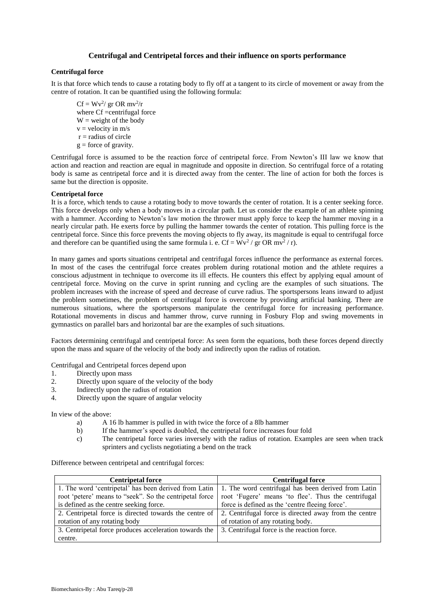### **Centrifugal and Centripetal forces and their influence on sports performance**

#### **Centrifugal force**

It is that force which tends to cause a rotating body to fly off at a tangent to its circle of movement or away from the centre of rotation. It can be quantified using the following formula:

 $Cf = Wv^2/gr$  OR mv<sup>2</sup>/r where Cf =centrifugal force  $W = weight of the body$  $v =$  velocity in  $m/s$  $r =$  radius of circle  $g =$  force of gravity.

Centrifugal force is assumed to be the reaction force of centripetal force. From Newton's III law we know that action and reaction and reaction are equal in magnitude and opposite in direction. So centrifugal force of a rotating body is same as centripetal force and it is directed away from the center. The line of action for both the forces is same but the direction is opposite.

#### **Centripetal force**

It is a force, which tends to cause a rotating body to move towards the center of rotation. It is a center seeking force. This force develops only when a body moves in a circular path. Let us consider the example of an athlete spinning with a hammer. According to Newton's law motion the thrower must apply force to keep the hammer moving in a nearly circular path. He exerts force by pulling the hammer towards the center of rotation. This pulling force is the centripetal force. Since this force prevents the moving objects to fly away, its magnitude is equal to centrifugal force and therefore can be quantified using the same formula i. e.  $Cf = Wv^2 / gr OR mv^2 / r$ .

In many games and sports situations centripetal and centrifugal forces influence the performance as external forces. In most of the cases the centrifugal force creates problem during rotational motion and the athlete requires a conscious adjustment in technique to overcome its ill effects. He counters this effect by applying equal amount of centripetal force. Moving on the curve in sprint running and cycling are the examples of such situations. The problem increases with the increase of speed and decrease of curve radius. The sportspersons leans inward to adjust the problem sometimes, the problem of centrifugal force is overcome by providing artificial banking. There are numerous situations, where the sportspersons manipulate the centrifugal force for increasing performance. Rotational movements in discus and hammer throw, curve running in Fosbury Flop and swing movements in gymnastics on parallel bars and horizontal bar are the examples of such situations.

Factors determining centrifugal and centripetal force: As seen form the equations, both these forces depend directly upon the mass and square of the velocity of the body and indirectly upon the radius of rotation.

Centrifugal and Centripetal forces depend upon

- 1. Directly upon mass
- 2. Directly upon square of the velocity of the body
- 3. Indirectly upon the radius of rotation
- 4. Directly upon the square of angular velocity

In view of the above:

- a) A 16 lb hammer is pulled in with twice the force of a 8lb hammer
- b) If the hammer's speed is doubled, the centripetal force increases four fold
- c) The centripetal force varies inversely with the radius of rotation. Examples are seen when track sprinters and cyclists negotiating a bend on the track

Difference between centripetal and centrifugal forces:

| <b>Centripetal force</b>                                | <b>Centrifugal force</b>                              |
|---------------------------------------------------------|-------------------------------------------------------|
| 1. The word 'centripetal' has been derived from Latin   | 1. The word centrifugal has been derived from Latin   |
| root 'petere' means to "seek". So the centripetal force | root 'Fugere' means 'to flee'. Thus the centrifugal   |
| is defined as the centre seeking force.                 | force is defined as the 'centre fleeing force'.       |
| 2. Centripetal force is directed towards the centre of  | 2. Centrifugal force is directed away from the centre |
| rotation of any rotating body                           | of rotation of any rotating body.                     |
| 3. Centripetal force produces acceleration towards the  | 3. Centrifugal force is the reaction force.           |
| centre.                                                 |                                                       |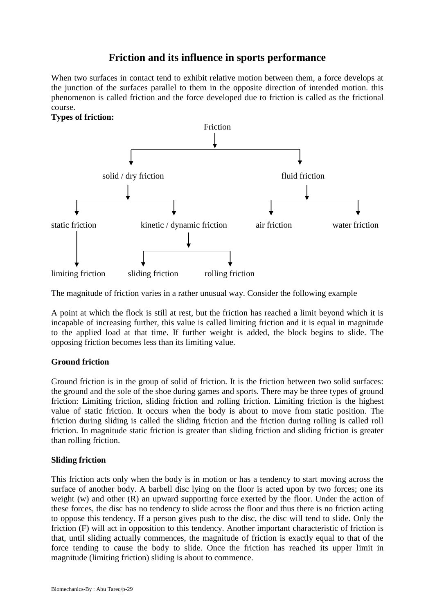# **Friction and its influence in sports performance**

When two surfaces in contact tend to exhibit relative motion between them, a force develops at the junction of the surfaces parallel to them in the opposite direction of intended motion. this phenomenon is called friction and the force developed due to friction is called as the frictional course.

# **Types of friction:**



The magnitude of friction varies in a rather unusual way. Consider the following example

A point at which the flock is still at rest, but the friction has reached a limit beyond which it is incapable of increasing further, this value is called limiting friction and it is equal in magnitude to the applied load at that time. If further weight is added, the block begins to slide. The opposing friction becomes less than its limiting value.

# **Ground friction**

Ground friction is in the group of solid of friction. It is the friction between two solid surfaces: the ground and the sole of the shoe during games and sports. There may be three types of ground friction: Limiting friction, sliding friction and rolling friction. Limiting friction is the highest value of static friction. It occurs when the body is about to move from static position. The friction during sliding is called the sliding friction and the friction during rolling is called roll friction. In magnitude static friction is greater than sliding friction and sliding friction is greater than rolling friction.

# **Sliding friction**

This friction acts only when the body is in motion or has a tendency to start moving across the surface of another body. A barbell disc lying on the floor is acted upon by two forces; one its weight (w) and other (R) an upward supporting force exerted by the floor. Under the action of these forces, the disc has no tendency to slide across the floor and thus there is no friction acting to oppose this tendency. If a person gives push to the disc, the disc will tend to slide. Only the friction (F) will act in opposition to this tendency. Another important characteristic of friction is that, until sliding actually commences, the magnitude of friction is exactly equal to that of the force tending to cause the body to slide. Once the friction has reached its upper limit in magnitude (limiting friction) sliding is about to commence.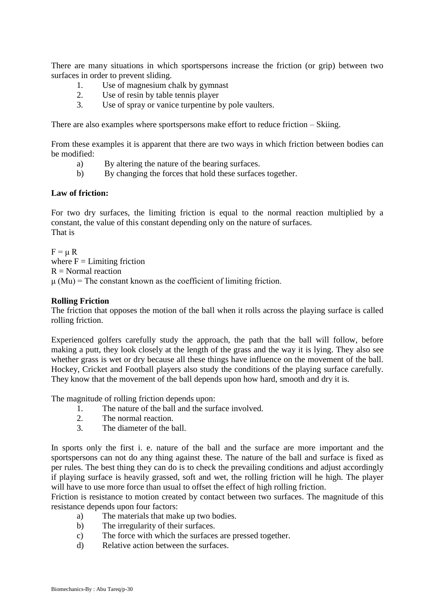There are many situations in which sportspersons increase the friction (or grip) between two surfaces in order to prevent sliding.

- 1. Use of magnesium chalk by gymnast
- 2. Use of resin by table tennis player
- 3. Use of spray or vanice turpentine by pole vaulters.

There are also examples where sportspersons make effort to reduce friction – Skiing.

From these examples it is apparent that there are two ways in which friction between bodies can be modified:

- a) By altering the nature of the bearing surfaces.
- b) By changing the forces that hold these surfaces together.

# **Law of friction:**

For two dry surfaces, the limiting friction is equal to the normal reaction multiplied by a constant, the value of this constant depending only on the nature of surfaces. That is

 $F = \mu R$ where  $F =$  Limiting friction  $R = Normal$  reaction  $\mu$  (Mu) = The constant known as the coefficient of limiting friction.

# **Rolling Friction**

The friction that opposes the motion of the ball when it rolls across the playing surface is called rolling friction.

Experienced golfers carefully study the approach, the path that the ball will follow, before making a putt, they look closely at the length of the grass and the way it is lying. They also see whether grass is wet or dry because all these things have influence on the movement of the ball. Hockey, Cricket and Football players also study the conditions of the playing surface carefully. They know that the movement of the ball depends upon how hard, smooth and dry it is.

The magnitude of rolling friction depends upon:

- 1. The nature of the ball and the surface involved.
- 2. The normal reaction.
- 3. The diameter of the ball.

In sports only the first i. e. nature of the ball and the surface are more important and the sportspersons can not do any thing against these. The nature of the ball and surface is fixed as per rules. The best thing they can do is to check the prevailing conditions and adjust accordingly if playing surface is heavily grassed, soft and wet, the rolling friction will he high. The player will have to use more force than usual to offset the effect of high rolling friction.

Friction is resistance to motion created by contact between two surfaces. The magnitude of this resistance depends upon four factors:

- a) The materials that make up two bodies.
- b) The irregularity of their surfaces.
- c) The force with which the surfaces are pressed together.
- d) Relative action between the surfaces.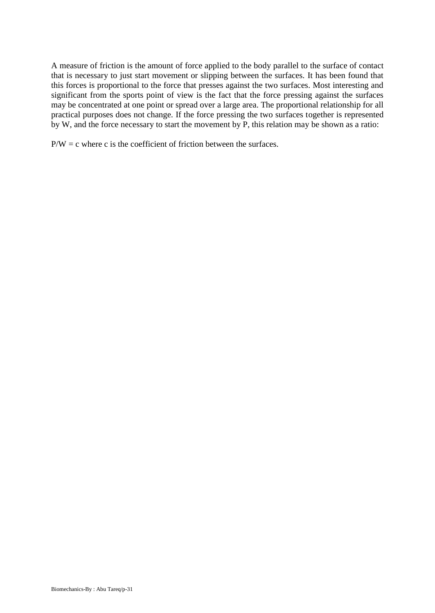A measure of friction is the amount of force applied to the body parallel to the surface of contact that is necessary to just start movement or slipping between the surfaces. It has been found that this forces is proportional to the force that presses against the two surfaces. Most interesting and significant from the sports point of view is the fact that the force pressing against the surfaces may be concentrated at one point or spread over a large area. The proportional relationship for all practical purposes does not change. If the force pressing the two surfaces together is represented by W, and the force necessary to start the movement by P, this relation may be shown as a ratio:

 $P/W = c$  where c is the coefficient of friction between the surfaces.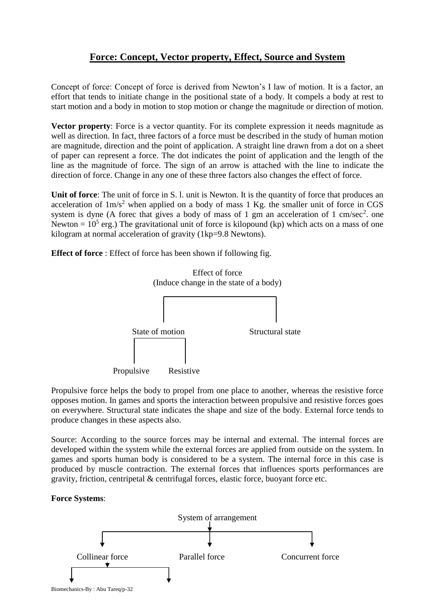# **Force: Concept, Vector property, Effect, Source and System**

Concept of force: Concept of force is derived from Newton's I law of motion. It is a factor, an effort that tends to initiate change in the positional state of a body. It compels a body at rest to start motion and a body in motion to stop motion or change the magnitude or direction of motion.

**Vector property**: Force is a vector quantity. For its complete expression it needs magnitude as well as direction. In fact, three factors of a force must be described in the study of human motion are magnitude, direction and the point of application. A straight line drawn from a dot on a sheet of paper can represent a force. The dot indicates the point of application and the length of the line as the magnitude of force. The sign of an arrow is attached with the line to indicate the direction of force. Change in any one of these three factors also changes the effect of force.

**Unit of force**: The unit of force in S. l. unit is Newton. It is the quantity of force that produces an acceleration of  $1m/s^2$  when applied on a body of mass 1 Kg. the smaller unit of force in CGS system is dyne (A forec that gives a body of mass of 1 gm an acceleration of 1 cm/sec<sup>2</sup>. one Newton =  $10^5$  erg.) The gravitational unit of force is kilopound (kp) which acts on a mass of one kilogram at normal acceleration of gravity (1kp=9.8 Newtons).

**Effect of force** : Effect of force has been shown if following fig.



Propulsive force helps the body to propel from one place to another, whereas the resistive force opposes motion. In games and sports the interaction between propulsive and resistive forces goes on everywhere. Structural state indicates the shape and size of the body. External force tends to produce changes in these aspects also.

Source: According to the source forces may be internal and external. The internal forces are developed within the system while the external forces are applied from outside on the system. In games and sports human body is considered to be a system. The internal force in this case is produced by muscle contraction. The external forces that influences sports performances are gravity, friction, centripetal & centrifugal forces, elastic force, buoyant force etc.

# **Force Systems**:

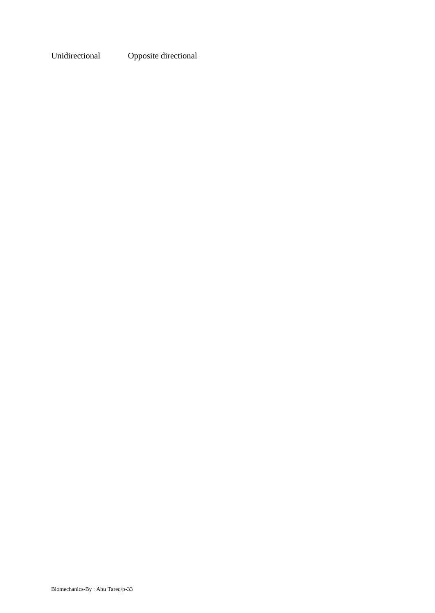Unidirectional Opposite directional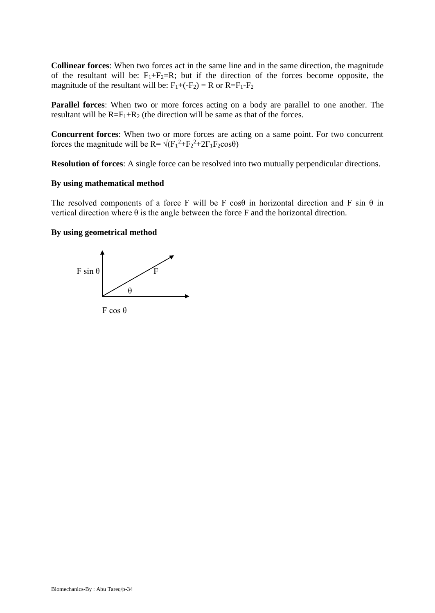**Collinear forces**: When two forces act in the same line and in the same direction, the magnitude of the resultant will be:  $F_1 + F_2 = R$ ; but if the direction of the forces become opposite, the magnitude of the resultant will be:  $F_1+(F_2) = R$  or  $R=F_1-F_2$ 

**Parallel forces**: When two or more forces acting on a body are parallel to one another. The resultant will be  $R=F_1+R_2$  (the direction will be same as that of the forces.

**Concurrent forces**: When two or more forces are acting on a same point. For two concurrent forces the magnitude will be  $R = \sqrt{(F_1^2 + F_2^2 + 2F_1F_2\cos\theta)}$ 

**Resolution of forces**: A single force can be resolved into two mutually perpendicular directions.

## **By using mathematical method**

The resolved components of a force F will be F cos $\theta$  in horizontal direction and F sin  $\theta$  in vertical direction where θ is the angle between the force F and the horizontal direction.

### **By using geometrical method**



F cos θ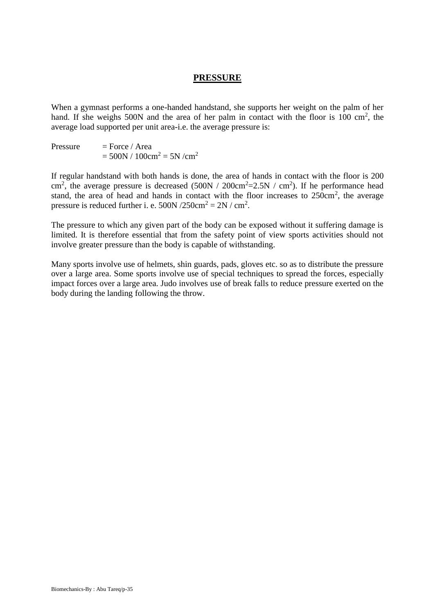# **PRESSURE**

When a gymnast performs a one-handed handstand, she supports her weight on the palm of her hand. If she weighs 500N and the area of her palm in contact with the floor is  $100 \text{ cm}^2$ , the average load supported per unit area-i.e. the average pressure is:

Pressure  $=$  Force / Area  $= 500N / 100cm^2 = 5N / cm^2$ 

If regular handstand with both hands is done, the area of hands in contact with the floor is 200 cm<sup>2</sup>, the average pressure is decreased  $(500N / 200 \text{cm}^2 = 2.5N / \text{cm}^2)$ . If he performance head stand, the area of head and hands in contact with the floor increases to  $250 \text{cm}^2$ , the average pressure is reduced further i. e.  $500N / 250cm^2 = 2N / cm^2$ .

The pressure to which any given part of the body can be exposed without it suffering damage is limited. It is therefore essential that from the safety point of view sports activities should not involve greater pressure than the body is capable of withstanding.

Many sports involve use of helmets, shin guards, pads, gloves etc. so as to distribute the pressure over a large area. Some sports involve use of special techniques to spread the forces, especially impact forces over a large area. Judo involves use of break falls to reduce pressure exerted on the body during the landing following the throw.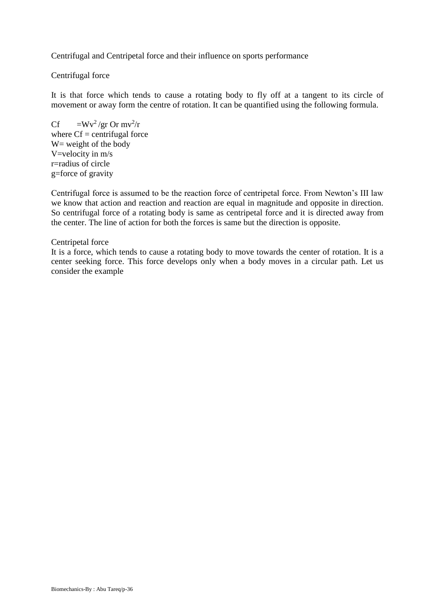Centrifugal and Centripetal force and their influence on sports performance

# Centrifugal force

It is that force which tends to cause a rotating body to fly off at a tangent to its circle of movement or away form the centre of rotation. It can be quantified using the following formula.

Cf  $=$   $Wv^2/gr$  Or  $mv^2/r$ where  $Cf =$  centrifugal force W = weight of the body V=velocity in m/s r=radius of circle g=force of gravity

Centrifugal force is assumed to be the reaction force of centripetal force. From Newton's III law we know that action and reaction and reaction are equal in magnitude and opposite in direction. So centrifugal force of a rotating body is same as centripetal force and it is directed away from the center. The line of action for both the forces is same but the direction is opposite.

# Centripetal force

It is a force, which tends to cause a rotating body to move towards the center of rotation. It is a center seeking force. This force develops only when a body moves in a circular path. Let us consider the example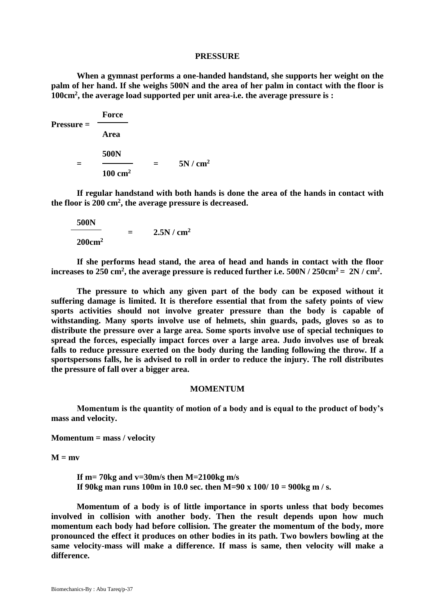### **PRESSURE**

**When a gymnast performs a one-handed handstand, she supports her weight on the palm of her hand. If she weighs 500N and the area of her palm in contact with the floor is 100cm<sup>2</sup> , the average load supported per unit area-i.e. the average pressure is :**

**Force Pressure = Area 500N**   $=$   $=$   $5N/cm^2$ **100 cm<sup>2</sup>**

**If regular handstand with both hands is done the area of the hands in contact with the floor is 200 cm<sup>2</sup> , the average pressure is decreased.**

**500N**  $= 2.5N / cm^2$ **200cm<sup>2</sup>** 

**If she performs head stand, the area of head and hands in contact with the floor increases to 250 cm<sup>2</sup>, the average pressure is reduced further i.e.**  $500N / 250cm^2 = 2N / cm^2$ **.** 

**The pressure to which any given part of the body can be exposed without it suffering damage is limited. It is therefore essential that from the safety points of view sports activities should not involve greater pressure than the body is capable of withstanding. Many sports involve use of helmets, shin guards, pads, gloves so as to distribute the pressure over a large area. Some sports involve use of special techniques to spread the forces, especially impact forces over a large area. Judo involves use of break falls to reduce pressure exerted on the body during the landing following the throw. If a sportspersons falls, he is advised to roll in order to reduce the injury. The roll distributes the pressure of fall over a bigger area.** 

## **MOMENTUM**

**Momentum is the quantity of motion of a body and is equal to the product of body's mass and velocity.** 

**Momentum = mass / velocity**

 $M = mv$ 

**If m= 70kg and v=30m/s then M=2100kg m/s If 90kg man runs 100m in 10.0 sec. then M=90 x 100/ 10 = 900kg m / s.**

**Momentum of a body is of little importance in sports unless that body becomes involved in collision with another body. Then the result depends upon how much momentum each body had before collision. The greater the momentum of the body, more pronounced the effect it produces on other bodies in its path. Two bowlers bowling at the same velocity-mass will make a difference. If mass is same, then velocity will make a difference.**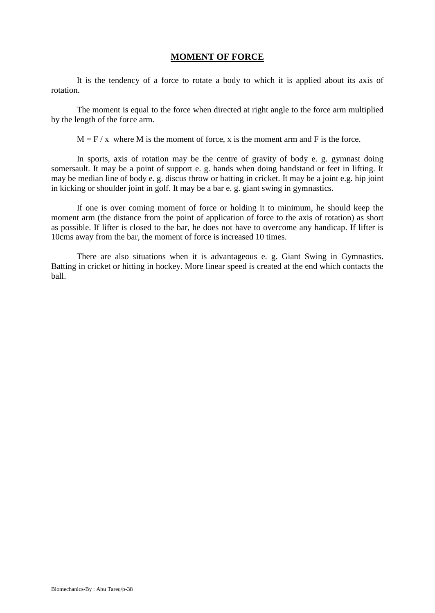# **MOMENT OF FORCE**

It is the tendency of a force to rotate a body to which it is applied about its axis of rotation.

The moment is equal to the force when directed at right angle to the force arm multiplied by the length of the force arm.

 $M = F / x$  where M is the moment of force, x is the moment arm and F is the force.

In sports, axis of rotation may be the centre of gravity of body e. g. gymnast doing somersault. It may be a point of support e. g. hands when doing handstand or feet in lifting. It may be median line of body e. g. discus throw or batting in cricket. It may be a joint e.g. hip joint in kicking or shoulder joint in golf. It may be a bar e. g. giant swing in gymnastics.

If one is over coming moment of force or holding it to minimum, he should keep the moment arm (the distance from the point of application of force to the axis of rotation) as short as possible. If lifter is closed to the bar, he does not have to overcome any handicap. If lifter is 10cms away from the bar, the moment of force is increased 10 times.

There are also situations when it is advantageous e. g. Giant Swing in Gymnastics. Batting in cricket or hitting in hockey. More linear speed is created at the end which contacts the ball.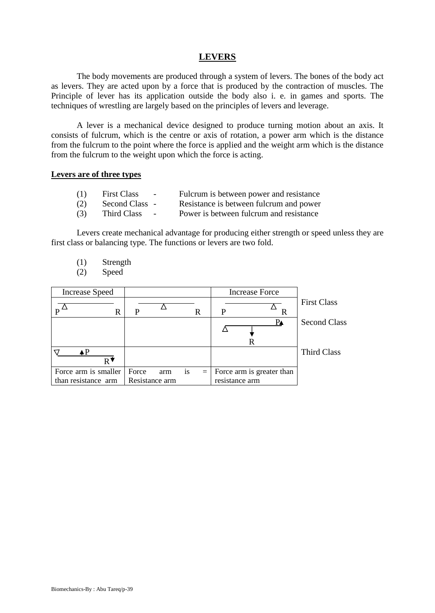## **LEVERS**

The body movements are produced through a system of levers. The bones of the body act as levers. They are acted upon by a force that is produced by the contraction of muscles. The Principle of lever has its application outside the body also i. e. in games and sports. The techniques of wrestling are largely based on the principles of levers and leverage.

A lever is a mechanical device designed to produce turning motion about an axis. It consists of fulcrum, which is the centre or axis of rotation, a power arm which is the distance from the fulcrum to the point where the force is applied and the weight arm which is the distance from the fulcrum to the weight upon which the force is acting.

## **Levers are of three types**

| (1) | <b>First Class</b> | $\overline{\phantom{0}}$ | Fulcrum is between power and resistance |
|-----|--------------------|--------------------------|-----------------------------------------|
| (2) | Second Class -     |                          | Resistance is between fulcrum and power |
| (3) | Third Class        | $\sim$                   | Power is between fulcrum and resistance |

Levers create mechanical advantage for producing either strength or speed unless they are first class or balancing type. The functions or levers are two fold.

- (1) Strength
- (2) Speed

| <b>Increase Speed</b>                          |                |                       | <b>Increase Force</b>     |                     |
|------------------------------------------------|----------------|-----------------------|---------------------------|---------------------|
| R                                              |                | R                     | R                         | <b>First Class</b>  |
|                                                |                |                       | P▲<br>К                   | <b>Second Class</b> |
| $\blacktriangle$ P<br>$R^{\blacktriangledown}$ |                |                       |                           | <b>Third Class</b>  |
| Force arm is smaller                           | Force<br>arm   | is<br>$\quad \  \  =$ | Force arm is greater than |                     |
| than resistance arm                            | Resistance arm |                       | resistance arm            |                     |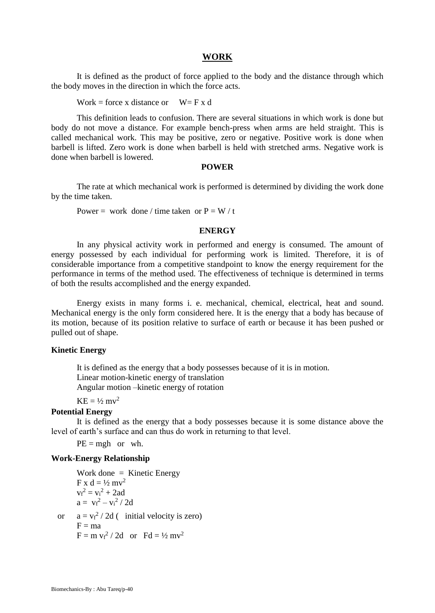## **WORK**

It is defined as the product of force applied to the body and the distance through which the body moves in the direction in which the force acts.

Work = force x distance or  $W = F x d$ 

This definition leads to confusion. There are several situations in which work is done but body do not move a distance. For example bench-press when arms are held straight. This is called mechanical work. This may be positive, zero or negative. Positive work is done when barbell is lifted. Zero work is done when barbell is held with stretched arms. Negative work is done when barbell is lowered.

### **POWER**

The rate at which mechanical work is performed is determined by dividing the work done by the time taken.

Power = work done / time taken or  $P = W / t$ 

## **ENERGY**

In any physical activity work in performed and energy is consumed. The amount of energy possessed by each individual for performing work is limited. Therefore, it is of considerable importance from a competitive standpoint to know the energy requirement for the performance in terms of the method used. The effectiveness of technique is determined in terms of both the results accomplished and the energy expanded.

Energy exists in many forms i. e. mechanical, chemical, electrical, heat and sound. Mechanical energy is the only form considered here. It is the energy that a body has because of its motion, because of its position relative to surface of earth or because it has been pushed or pulled out of shape.

## **Kinetic Energy**

It is defined as the energy that a body possesses because of it is in motion. Linear motion-kinetic energy of translation Angular motion –kinetic energy of rotation

 $KE = 1/2 mv^2$ 

### **Potential Energy**

It is defined as the energy that a body possesses because it is some distance above the level of earth's surface and can thus do work in returning to that level.

 $PE = mgh$  or wh.

## **Work-Energy Relationship**

Work done  $=$  Kinetic Energy  $F x d = \frac{1}{2} m v^2$  $v_f^2 = v_i^2 + 2ad$  $a = v_f^2 - v_i^2 / 2d$ or  $a = v_f^2 / 2d$  (initial velocity is zero)  $F = ma$  $F = m v_f^2 / 2d$  or  $Fd = \frac{1}{2} m v^2$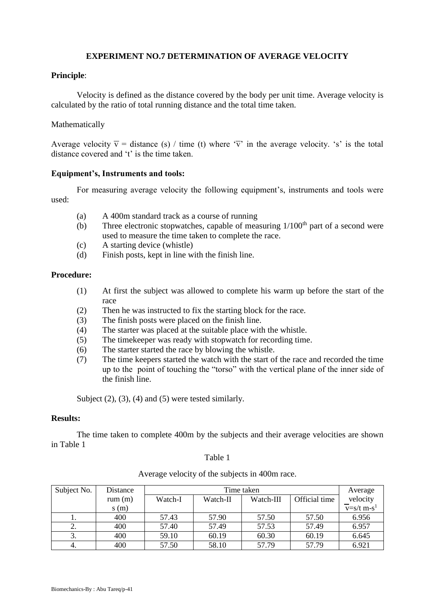## **EXPERIMENT NO.7 DETERMINATION OF AVERAGE VELOCITY**

## **Principle**:

Velocity is defined as the distance covered by the body per unit time. Average velocity is calculated by the ratio of total running distance and the total time taken.

## Mathematically

Average velocity  $\overline{v}$  = distance (s) / time (t) where  $\overline{v}$  in the average velocity. 's' is the total distance covered and 't' is the time taken.

## **Equipment's, Instruments and tools:**

For measuring average velocity the following equipment's, instruments and tools were used:

- (a) A 400m standard track as a course of running
- (b) Three electronic stopwatches, capable of measuring  $1/100<sup>th</sup>$  part of a second were used to measure the time taken to complete the race.
- (c) A starting device (whistle)
- (d) Finish posts, kept in line with the finish line.

## **Procedure:**

- (1) At first the subject was allowed to complete his warm up before the start of the race
- (2) Then he was instructed to fix the starting block for the race.
- (3) The finish posts were placed on the finish line.
- (4) The starter was placed at the suitable place with the whistle.
- (5) The timekeeper was ready with stopwatch for recording time.
- (6) The starter started the race by blowing the whistle.
- (7) The time keepers started the watch with the start of the race and recorded the time up to the point of touching the "torso" with the vertical plane of the inner side of the finish line.

Subject  $(2)$ ,  $(3)$ ,  $(4)$  and  $(5)$  were tested similarly.

## **Results:**

The time taken to complete 400m by the subjects and their average velocities are shown in Table 1

Table 1

| Subject No. | Distance | Time taken |          |           |               | Average                              |
|-------------|----------|------------|----------|-----------|---------------|--------------------------------------|
|             | rum(m)   | Watch-I    | Watch-II | Watch-III | Official time | velocity                             |
|             | s(m)     |            |          |           |               | $\overline{v}$ =s/t m-s <sup>1</sup> |
| 1.          | 400      | 57.43      | 57.90    | 57.50     | 57.50         | 6.956                                |
| ۷.          | 400      | 57.40      | 57.49    | 57.53     | 57.49         | 6.957                                |
|             | 400      | 59.10      | 60.19    | 60.30     | 60.19         | 6.645                                |
|             | 400      | 57.50      | 58.10    | 57.79     | 57.79         | 6.921                                |

## Average velocity of the subjects in 400m race.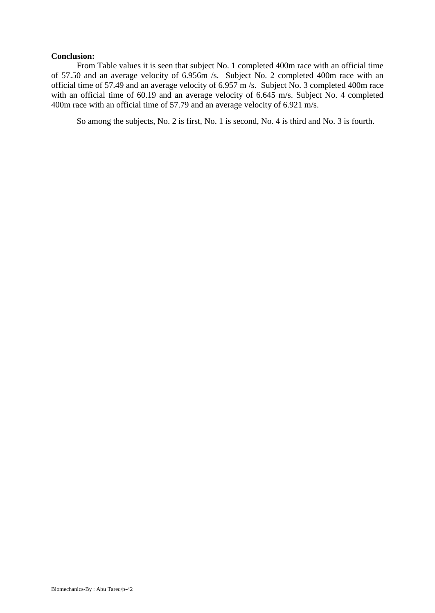## **Conclusion:**

From Table values it is seen that subject No. 1 completed 400m race with an official time of 57.50 and an average velocity of 6.956m /s. Subject No. 2 completed 400m race with an official time of 57.49 and an average velocity of 6.957 m /s. Subject No. 3 completed 400m race with an official time of 60.19 and an average velocity of 6.645 m/s. Subject No. 4 completed 400m race with an official time of 57.79 and an average velocity of 6.921 m/s.

So among the subjects, No. 2 is first, No. 1 is second, No. 4 is third and No. 3 is fourth.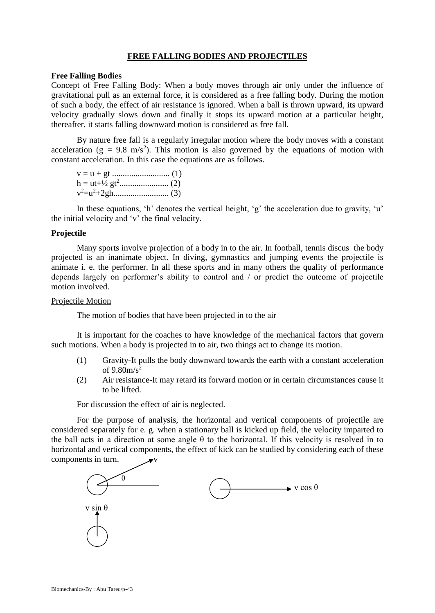## **FREE FALLING BODIES AND PROJECTILES**

## **Free Falling Bodies**

Concept of Free Falling Body: When a body moves through air only under the influence of gravitational pull as an external force, it is considered as a free falling body. During the motion of such a body, the effect of air resistance is ignored. When a ball is thrown upward, its upward velocity gradually slows down and finally it stops its upward motion at a particular height, thereafter, it starts falling downward motion is considered as free fall.

By nature free fall is a regularly irregular motion where the body moves with a constant acceleration ( $g = 9.8$  m/s<sup>2</sup>). This motion is also governed by the equations of motion with constant acceleration. In this case the equations are as follows.

v = u + gt ........................... (1) h = ut+½ gt<sup>2</sup> ....................... (2) v <sup>2</sup>=u<sup>2</sup>+2gh.......................... (3)

In these equations, 'h' denotes the vertical height, 'g' the acceleration due to gravity, 'u' the initial velocity and 'v' the final velocity.

## **Projectile**

Many sports involve projection of a body in to the air. In football, tennis discus the body projected is an inanimate object. In diving, gymnastics and jumping events the projectile is animate i. e. the performer. In all these sports and in many others the quality of performance depends largely on performer's ability to control and / or predict the outcome of projectile motion involved.

### Projectile Motion

The motion of bodies that have been projected in to the air

It is important for the coaches to have knowledge of the mechanical factors that govern such motions. When a body is projected in to air, two things act to change its motion.

- (1) Gravity-It pulls the body downward towards the earth with a constant acceleration of  $9.80 \text{m/s}^2$
- (2) Air resistance-It may retard its forward motion or in certain circumstances cause it to be lifted.

For discussion the effect of air is neglected.

For the purpose of analysis, the horizontal and vertical components of projectile are considered separately for e. g. when a stationary ball is kicked up field, the velocity imparted to the ball acts in a direction at some angle  $\theta$  to the horizontal. If this velocity is resolved in to horizontal and vertical components, the effect of kick can be studied by considering each of these components in turn.

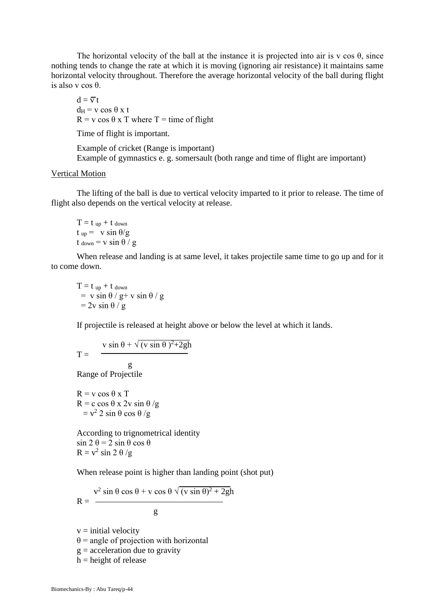The horizontal velocity of the ball at the instance it is projected into air is  $v \cos \theta$ , since nothing tends to change the rate at which it is moving (ignoring air resistance) it maintains same horizontal velocity throughout. Therefore the average horizontal velocity of the ball during flight is also v cos θ.

 $d = \overline{v} t$  $d_H = v \cos \theta x t$  $R = v \cos \theta$  x T where T = time of flight

Time of flight is important.

Example of cricket (Range is important) Example of gymnastics e. g. somersault (both range and time of flight are important)

## Vertical Motion

The lifting of the ball is due to vertical velocity imparted to it prior to release. The time of flight also depends on the vertical velocity at release.

 $T = t_{up} + t_{down}$  $t_{up} = v \sin \theta/g$  $t_{down} = v \sin \theta / g$ 

When release and landing is at same level, it takes projectile same time to go up and for it to come down.

 $T = t_{up} + t_{down}$  $= v \sin \theta / g + v \sin \theta / g$  $= 2v \sin \theta / g$ 

If projectile is released at height above or below the level at which it lands.

$$
T = \frac{v \sin \theta + \sqrt{(v \sin \theta)^2 + 2gh}}{}
$$

g Range of Projectile

 $R = v \cos \theta x$  T  $R = c \cos \theta \times 2v \sin \theta / g$  $=$  v<sup>2</sup> 2 sin  $\theta$  cos  $\theta$  /g

According to trignometrical identity sin 2 θ =  $2 \sin θ \cos θ$  $R = v^2 \sin 2 \theta / g$ 

When release point is higher than landing point (shot put)

$$
R = \frac{v^2 \sin \theta \cos \theta + v \cos \theta \sqrt{(v \sin \theta)^2 + 2gh}}{g}
$$

 $v = initial velocity$  $\theta$  = angle of projection with horizontal

 $g = acceleration$  due to gravity

 $h = height of release$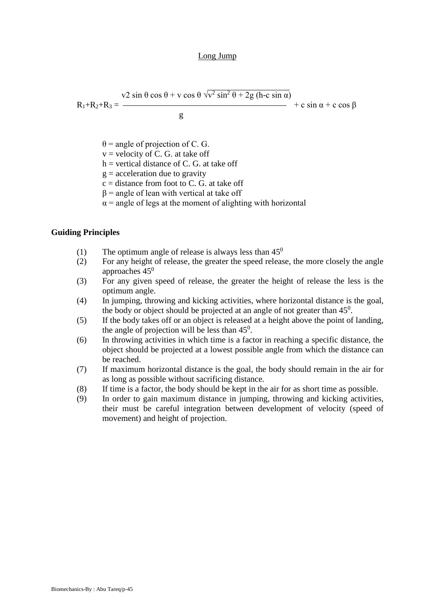## Long Jump

$$
R_1 + R_2 + R_3 = \frac{v2 \sin \theta \cos \theta + v \cos \theta \sqrt{v^2 \sin^2 \theta + 2g (h \cdot c \sin \alpha)}}{g} + c \sin \alpha + c \cos \beta
$$

 $\theta$  = angle of projection of C. G.

 $v =$  velocity of C. G. at take off

- $h =$  vertical distance of C. G. at take off
- $g = acceleration$  due to gravity
- $c = distance from foot to C$ . G. at take off
- $\beta$  = angle of lean with vertical at take off
- $\alpha$  = angle of legs at the moment of alighting with horizontal

## **Guiding Principles**

- (1) The optimum angle of release is always less than  $45^{\circ}$
- (2) For any height of release, the greater the speed release, the more closely the angle approaches  $45<sup>0</sup>$
- (3) For any given speed of release, the greater the height of release the less is the optimum angle.
- (4) In jumping, throwing and kicking activities, where horizontal distance is the goal, the body or object should be projected at an angle of not greater than  $45^0$ .
- (5) If the body takes off or an object is released at a height above the point of landing, the angle of projection will be less than  $45^{\circ}$ .
- (6) In throwing activities in which time is a factor in reaching a specific distance, the object should be projected at a lowest possible angle from which the distance can be reached.
- (7) If maximum horizontal distance is the goal, the body should remain in the air for as long as possible without sacrificing distance.
- (8) If time is a factor, the body should be kept in the air for as short time as possible.
- (9) In order to gain maximum distance in jumping, throwing and kicking activities, their must be careful integration between development of velocity (speed of movement) and height of projection.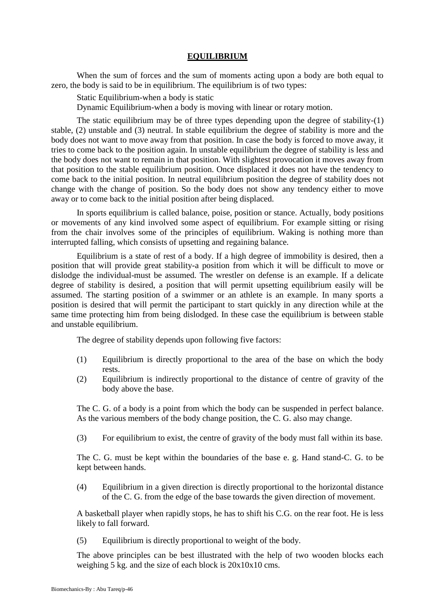## **EQUILIBRIUM**

When the sum of forces and the sum of moments acting upon a body are both equal to zero, the body is said to be in equilibrium. The equilibrium is of two types:

Static Equilibrium-when a body is static

Dynamic Equilibrium-when a body is moving with linear or rotary motion.

The static equilibrium may be of three types depending upon the degree of stability-(1) stable, (2) unstable and (3) neutral. In stable equilibrium the degree of stability is more and the body does not want to move away from that position. In case the body is forced to move away, it tries to come back to the position again. In unstable equilibrium the degree of stability is less and the body does not want to remain in that position. With slightest provocation it moves away from that position to the stable equilibrium position. Once displaced it does not have the tendency to come back to the initial position. In neutral equilibrium position the degree of stability does not change with the change of position. So the body does not show any tendency either to move away or to come back to the initial position after being displaced.

In sports equilibrium is called balance, poise, position or stance. Actually, body positions or movements of any kind involved some aspect of equilibrium. For example sitting or rising from the chair involves some of the principles of equilibrium. Waking is nothing more than interrupted falling, which consists of upsetting and regaining balance.

Equilibrium is a state of rest of a body. If a high degree of immobility is desired, then a position that will provide great stability-a position from which it will be difficult to move or dislodge the individual-must be assumed. The wrestler on defense is an example. If a delicate degree of stability is desired, a position that will permit upsetting equilibrium easily will be assumed. The starting position of a swimmer or an athlete is an example. In many sports a position is desired that will permit the participant to start quickly in any direction while at the same time protecting him from being dislodged. In these case the equilibrium is between stable and unstable equilibrium.

The degree of stability depends upon following five factors:

- (1) Equilibrium is directly proportional to the area of the base on which the body rests.
- (2) Equilibrium is indirectly proportional to the distance of centre of gravity of the body above the base.

The C. G. of a body is a point from which the body can be suspended in perfect balance. As the various members of the body change position, the C. G. also may change.

(3) For equilibrium to exist, the centre of gravity of the body must fall within its base.

The C. G. must be kept within the boundaries of the base e. g. Hand stand-C. G. to be kept between hands.

(4) Equilibrium in a given direction is directly proportional to the horizontal distance of the C. G. from the edge of the base towards the given direction of movement.

A basketball player when rapidly stops, he has to shift his C.G. on the rear foot. He is less likely to fall forward.

(5) Equilibrium is directly proportional to weight of the body.

The above principles can be best illustrated with the help of two wooden blocks each weighing 5 kg. and the size of each block is 20x10x10 cms.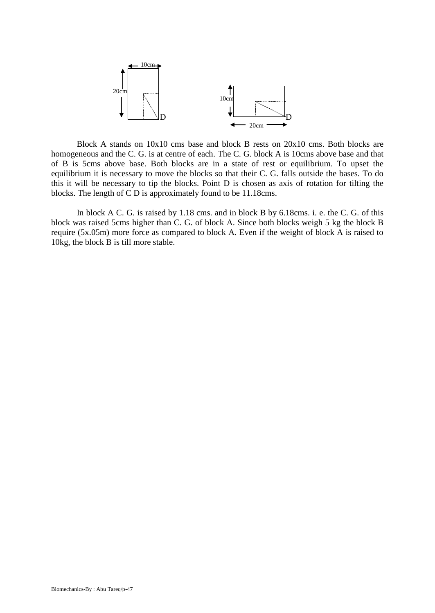

Block A stands on 10x10 cms base and block B rests on 20x10 cms. Both blocks are homogeneous and the C. G. is at centre of each. The C. G. block A is 10cms above base and that of B is 5cms above base. Both blocks are in a state of rest or equilibrium. To upset the equilibrium it is necessary to move the blocks so that their C. G. falls outside the bases. To do this it will be necessary to tip the blocks. Point D is chosen as axis of rotation for tilting the blocks. The length of C D is approximately found to be 11.18cms.

In block A C. G. is raised by 1.18 cms. and in block B by 6.18cms. i. e. the C. G. of this block was raised 5cms higher than C. G. of block A. Since both blocks weigh 5 kg the block B require (5x.05m) more force as compared to block A. Even if the weight of block A is raised to 10kg, the block B is till more stable.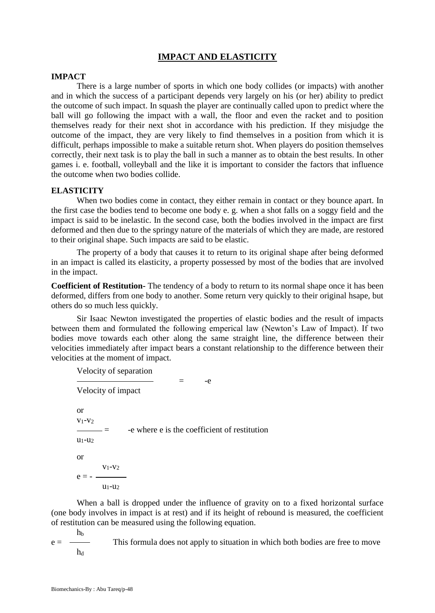# **IMPACT AND ELASTICITY**

## **IMPACT**

There is a large number of sports in which one body collides (or impacts) with another and in which the success of a participant depends very largely on his (or her) ability to predict the outcome of such impact. In squash the player are continually called upon to predict where the ball will go following the impact with a wall, the floor and even the racket and to position themselves ready for their next shot in accordance with his prediction. If they misjudge the outcome of the impact, they are very likely to find themselves in a position from which it is difficult, perhaps impossible to make a suitable return shot. When players do position themselves correctly, their next task is to play the ball in such a manner as to obtain the best results. In other games i. e. football, volleyball and the like it is important to consider the factors that influence the outcome when two bodies collide.

## **ELASTICITY**

When two bodies come in contact, they either remain in contact or they bounce apart. In the first case the bodies tend to become one body e. g. when a shot falls on a soggy field and the impact is said to be inelastic. In the second case, both the bodies involved in the impact are first deformed and then due to the springy nature of the materials of which they are made, are restored to their original shape. Such impacts are said to be elastic.

The property of a body that causes it to return to its original shape after being deformed in an impact is called its elasticity, a property possessed by most of the bodies that are involved in the impact.

**Coefficient of Restitution-** The tendency of a body to return to its normal shape once it has been deformed, differs from one body to another. Some return very quickly to their original hsape, but others do so much less quickly.

Sir Isaac Newton investigated the properties of elastic bodies and the result of impacts between them and formulated the following emperical law (Newton's Law of Impact). If two bodies move towards each other along the same straight line, the difference between their velocities immediately after impact bears a constant relationship to the difference between their velocities at the moment of impact.

 $= -e$ 

Velocity of separation

Velocity of impact or  $V1-V2$  $=$  -e where e is the coefficient of restitution  $u_1$ - $u_2$ or  $v_1-v_2$  $e =$  $u_1-u_2$ 

When a ball is dropped under the influence of gravity on to a fixed horizontal surface (one body involves in impact is at rest) and if its height of rebound is measured, the coefficient of restitution can be measured using the following equation.

hb  $e =$  This formula does not apply to situation in which both bodies are free to move  $h_d$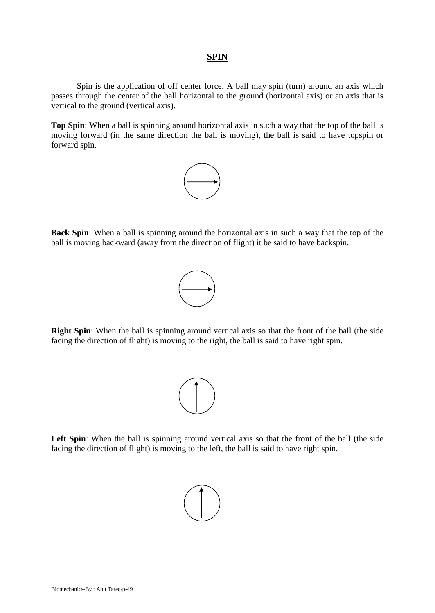# **SPIN**

Spin is the application of off center force. A ball may spin (turn) around an axis which passes through the center of the ball horizontal to the ground (horizontal axis) or an axis that is vertical to the ground (vertical axis).

**Top Spin**: When a ball is spinning around horizontal axis in such a way that the top of the ball is moving forward (in the same direction the ball is moving), the ball is said to have topspin or forward spin.



**Back Spin**: When a ball is spinning around the horizontal axis in such a way that the top of the ball is moving backward (away from the direction of flight) it be said to have backspin.



**Right Spin**: When the ball is spinning around vertical axis so that the front of the ball (the side facing the direction of flight) is moving to the right, the ball is said to have right spin.



Left Spin: When the ball is spinning around vertical axis so that the front of the ball (the side facing the direction of flight) is moving to the left, the ball is said to have right spin.

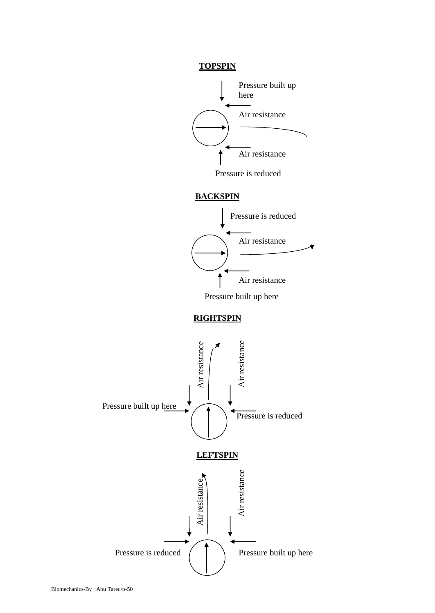## **TOPSPIN**



# **BACKSPIN**



Pressure built up here

**RIGHTSPIN**

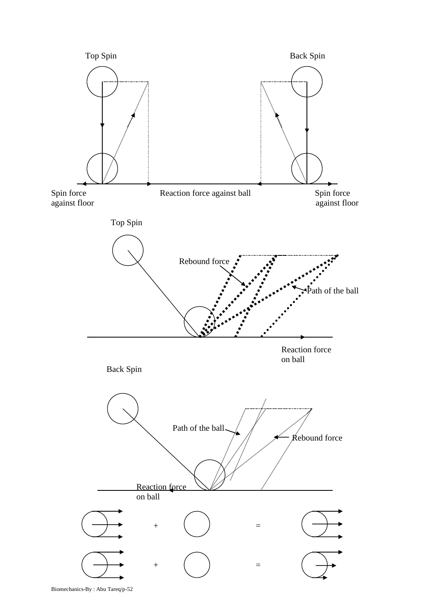

Biomechanics-By : Abu Tareq/p-52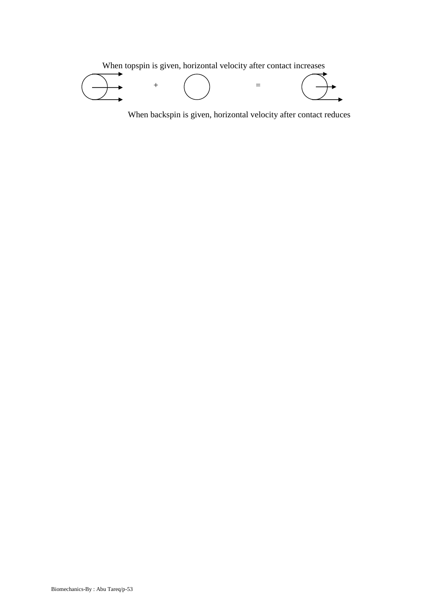

When backspin is given, horizontal velocity after contact reduces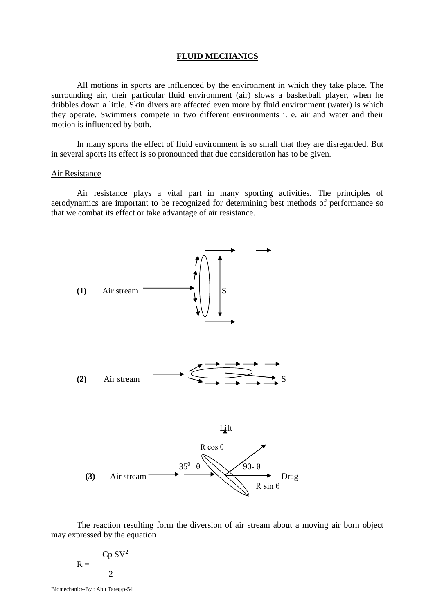## **FLUID MECHANICS**

All motions in sports are influenced by the environment in which they take place. The surrounding air, their particular fluid environment (air) slows a basketball player, when he dribbles down a little. Skin divers are affected even more by fluid environment (water) is which they operate. Swimmers compete in two different environments i. e. air and water and their motion is influenced by both.

In many sports the effect of fluid environment is so small that they are disregarded. But in several sports its effect is so pronounced that due consideration has to be given.

## Air Resistance

Air resistance plays a vital part in many sporting activities. The principles of aerodynamics are important to be recognized for determining best methods of performance so that we combat its effect or take advantage of air resistance.



The reaction resulting form the diversion of air stream about a moving air born object may expressed by the equation

$$
R = \frac{\text{Cp SV}^2}{2}
$$

Biomechanics-By : Abu Tareq/p-54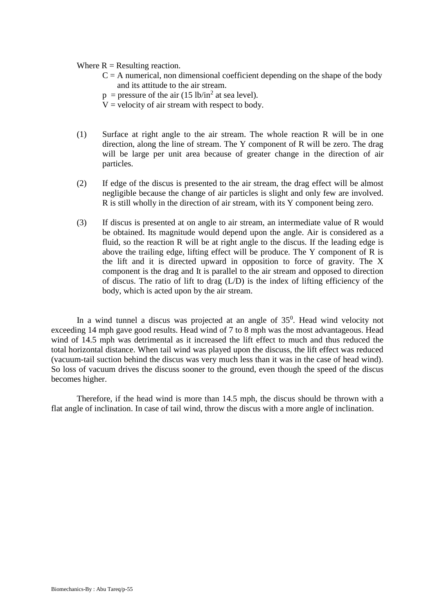Where  $R =$  Resulting reaction.

- $C = A$  numerical, non dimensional coefficient depending on the shape of the body and its attitude to the air stream.
- $p =$  pressure of the air (15 lb/in<sup>2</sup> at sea level).
- $V =$  velocity of air stream with respect to body.
- (1) Surface at right angle to the air stream. The whole reaction R will be in one direction, along the line of stream. The Y component of R will be zero. The drag will be large per unit area because of greater change in the direction of air particles.
- (2) If edge of the discus is presented to the air stream, the drag effect will be almost negligible because the change of air particles is slight and only few are involved. R is still wholly in the direction of air stream, with its Y component being zero.
- (3) If discus is presented at on angle to air stream, an intermediate value of R would be obtained. Its magnitude would depend upon the angle. Air is considered as a fluid, so the reaction R will be at right angle to the discus. If the leading edge is above the trailing edge, lifting effect will be produce. The Y component of R is the lift and it is directed upward in opposition to force of gravity. The X component is the drag and It is parallel to the air stream and opposed to direction of discus. The ratio of lift to drag (L/D) is the index of lifting efficiency of the body, which is acted upon by the air stream.

In a wind tunnel a discus was projected at an angle of  $35^{\circ}$ . Head wind velocity not exceeding 14 mph gave good results. Head wind of 7 to 8 mph was the most advantageous. Head wind of 14.5 mph was detrimental as it increased the lift effect to much and thus reduced the total horizontal distance. When tail wind was played upon the discuss, the lift effect was reduced (vacuum-tail suction behind the discus was very much less than it was in the case of head wind). So loss of vacuum drives the discuss sooner to the ground, even though the speed of the discus becomes higher.

Therefore, if the head wind is more than 14.5 mph, the discus should be thrown with a flat angle of inclination. In case of tail wind, throw the discus with a more angle of inclination.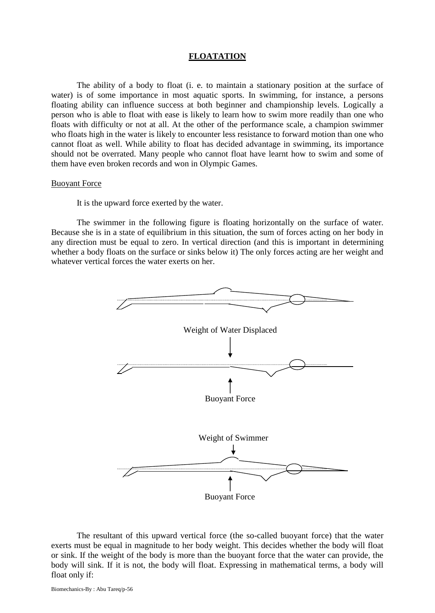## **FLOATATION**

The ability of a body to float (i. e. to maintain a stationary position at the surface of water) is of some importance in most aquatic sports. In swimming, for instance, a persons floating ability can influence success at both beginner and championship levels. Logically a person who is able to float with ease is likely to learn how to swim more readily than one who floats with difficulty or not at all. At the other of the performance scale, a champion swimmer who floats high in the water is likely to encounter less resistance to forward motion than one who cannot float as well. While ability to float has decided advantage in swimming, its importance should not be overrated. Many people who cannot float have learnt how to swim and some of them have even broken records and won in Olympic Games.

## Buoyant Force

It is the upward force exerted by the water.

The swimmer in the following figure is floating horizontally on the surface of water. Because she is in a state of equilibrium in this situation, the sum of forces acting on her body in any direction must be equal to zero. In vertical direction (and this is important in determining whether a body floats on the surface or sinks below it) The only forces acting are her weight and whatever vertical forces the water exerts on her.



The resultant of this upward vertical force (the so-called buoyant force) that the water exerts must be equal in magnitude to her body weight. This decides whether the body will float or sink. If the weight of the body is more than the buoyant force that the water can provide, the body will sink. If it is not, the body will float. Expressing in mathematical terms, a body will float only if: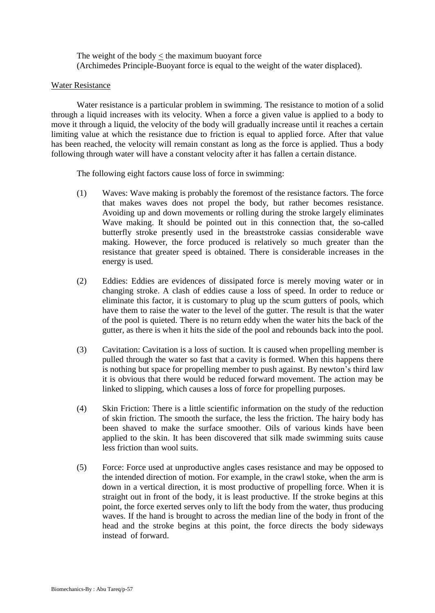The weight of the body  $\lt$  the maximum buoyant force (Archimedes Principle-Buoyant force is equal to the weight of the water displaced).

## Water Resistance

Water resistance is a particular problem in swimming. The resistance to motion of a solid through a liquid increases with its velocity. When a force a given value is applied to a body to move it through a liquid, the velocity of the body will gradually increase until it reaches a certain limiting value at which the resistance due to friction is equal to applied force. After that value has been reached, the velocity will remain constant as long as the force is applied. Thus a body following through water will have a constant velocity after it has fallen a certain distance.

The following eight factors cause loss of force in swimming:

- (1) Waves: Wave making is probably the foremost of the resistance factors. The force that makes waves does not propel the body, but rather becomes resistance. Avoiding up and down movements or rolling during the stroke largely eliminates Wave making. It should be pointed out in this connection that, the so-called butterfly stroke presently used in the breaststroke cassias considerable wave making. However, the force produced is relatively so much greater than the resistance that greater speed is obtained. There is considerable increases in the energy is used.
- (2) Eddies: Eddies are evidences of dissipated force is merely moving water or in changing stroke. A clash of eddies cause a loss of speed. In order to reduce or eliminate this factor, it is customary to plug up the scum gutters of pools, which have them to raise the water to the level of the gutter. The result is that the water of the pool is quieted. There is no return eddy when the water hits the back of the gutter, as there is when it hits the side of the pool and rebounds back into the pool.
- (3) Cavitation: Cavitation is a loss of suction. It is caused when propelling member is pulled through the water so fast that a cavity is formed. When this happens there is nothing but space for propelling member to push against. By newton's third law it is obvious that there would be reduced forward movement. The action may be linked to slipping, which causes a loss of force for propelling purposes.
- (4) Skin Friction: There is a little scientific information on the study of the reduction of skin friction. The smooth the surface, the less the friction. The hairy body has been shaved to make the surface smoother. Oils of various kinds have been applied to the skin. It has been discovered that silk made swimming suits cause less friction than wool suits.
- (5) Force: Force used at unproductive angles cases resistance and may be opposed to the intended direction of motion. For example, in the crawl stoke, when the arm is down in a vertical direction, it is most productive of propelling force. When it is straight out in front of the body, it is least productive. If the stroke begins at this point, the force exerted serves only to lift the body from the water, thus producing waves. If the hand is brought to across the median line of the body in front of the head and the stroke begins at this point, the force directs the body sideways instead of forward.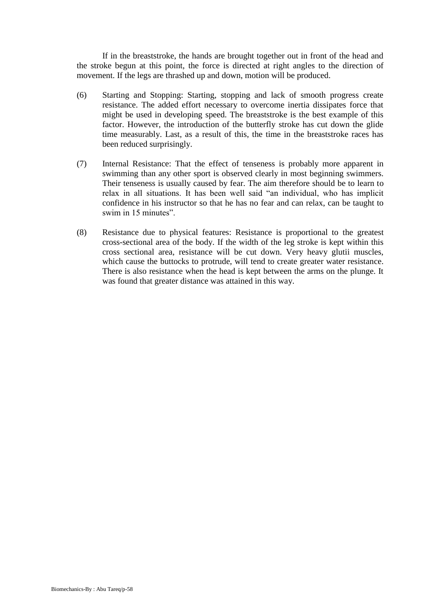If in the breaststroke, the hands are brought together out in front of the head and the stroke begun at this point, the force is directed at right angles to the direction of movement. If the legs are thrashed up and down, motion will be produced.

- (6) Starting and Stopping: Starting, stopping and lack of smooth progress create resistance. The added effort necessary to overcome inertia dissipates force that might be used in developing speed. The breaststroke is the best example of this factor. However, the introduction of the butterfly stroke has cut down the glide time measurably. Last, as a result of this, the time in the breaststroke races has been reduced surprisingly.
- (7) Internal Resistance: That the effect of tenseness is probably more apparent in swimming than any other sport is observed clearly in most beginning swimmers. Their tenseness is usually caused by fear. The aim therefore should be to learn to relax in all situations. It has been well said "an individual, who has implicit confidence in his instructor so that he has no fear and can relax, can be taught to swim in 15 minutes".
- (8) Resistance due to physical features: Resistance is proportional to the greatest cross-sectional area of the body. If the width of the leg stroke is kept within this cross sectional area, resistance will be cut down. Very heavy glutii muscles, which cause the buttocks to protrude, will tend to create greater water resistance. There is also resistance when the head is kept between the arms on the plunge. It was found that greater distance was attained in this way.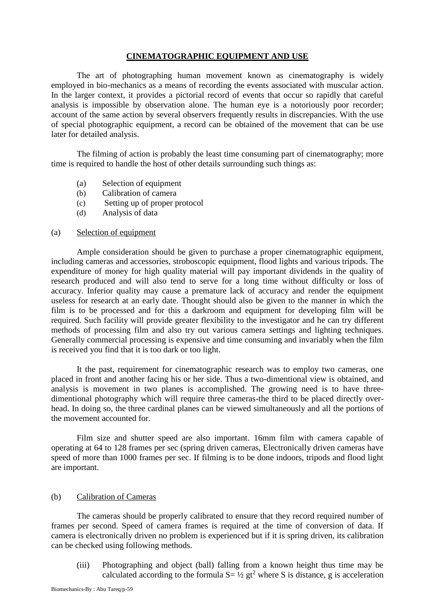## **CINEMATOGRAPHIC EQUIPMENT AND USE**

The art of photographing human movement known as cinematography is widely employed in bio-mechanics as a means of recording the events associated with muscular action. In the larger context, it provides a pictorial record of events that occur so rapidly that careful analysis is impossible by observation alone. The human eye is a notoriously poor recorder; account of the same action by several observers frequently results in discrepancies. With the use of special photographic equipment, a record can be obtained of the movement that can be use later for detailed analysis.

The filming of action is probably the least time consuming part of cinematography; more time is required to handle the host of other details surrounding such things as:

- (a) Selection of equipment
- (b) Calibration of camera
- (c) Setting up of proper protocol
- (d) Analysis of data

## (a) Selection of equipment

Ample consideration should be given to purchase a proper cinematographic equipment, including cameras and accessories, stroboscopic equipment, flood lights and various tripods. The expenditure of money for high quality material will pay important dividends in the quality of research produced and will also tend to serve for a long time without difficulty or loss of accuracy. Inferior quality may cause a premature lack of accuracy and render the equipment useless for research at an early date. Thought should also be given to the manner in which the film is to be processed and for this a darkroom and equipment for developing film will be required. Such facility will provide greater flexibility to the investigator and he can try different methods of processing film and also try out various camera settings and lighting techniques. Generally commercial processing is expensive and time consuming and invariably when the film is received you find that it is too dark or too light.

It the past, requirement for cinematographic research was to employ two cameras, one placed in front and another facing his or her side. Thus a two-dimentional view is obtained, and analysis is movement in two planes is accomplished. The growing need is to have threedimentional photography which will require three cameras-the third to be placed directly overhead. In doing so, the three cardinal planes can be viewed simultaneously and all the portions of the movement accounted for.

Film size and shutter speed are also important. 16mm film with camera capable of operating at 64 to 128 frames per sec (spring driven cameras, Electronically driven cameras have speed of more than 1000 frames per sec. If filming is to be done indoors, tripods and flood light are important.

## (b) Calibration of Cameras

The cameras should be properly calibrated to ensure that they record required number of frames per second. Speed of camera frames is required at the time of conversion of data. If camera is electronically driven no problem is experienced but if it is spring driven, its calibration can be checked using following methods.

(iii) Photographing and object (ball) falling from a known height thus time may be calculated according to the formula  $S = \frac{1}{2}gt^2 gt^2$  where S is distance, g is acceleration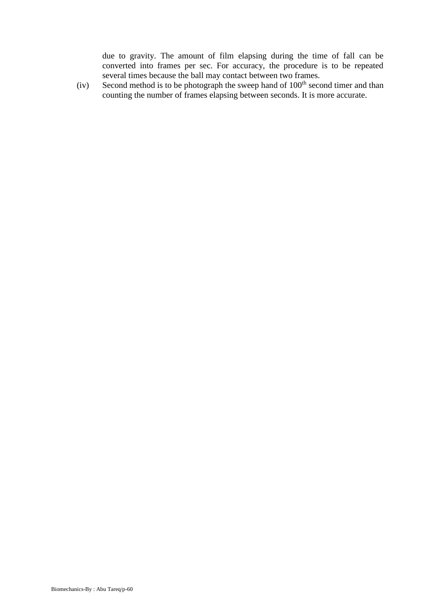due to gravity. The amount of film elapsing during the time of fall can be converted into frames per sec. For accuracy, the procedure is to be repeated several times because the ball may contact between two frames.

(iv) Second method is to be photograph the sweep hand of  $100<sup>th</sup>$  second timer and than counting the number of frames elapsing between seconds. It is more accurate.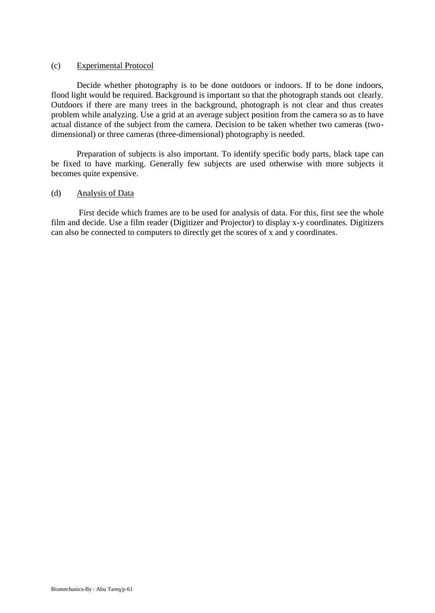## (c) Experimental Protocol

Decide whether photography is to be done outdoors or indoors. If to be done indoors, flood light would be required. Background is important so that the photograph stands out clearly. Outdoors if there are many trees in the background, photograph is not clear and thus creates problem while analyzing. Use a grid at an average subject position from the camera so as to have actual distance of the subject from the camera. Decision to be taken whether two cameras (twodimensional) or three cameras (three-dimensional) photography is needed.

Preparation of subjects is also important. To identify specific body parts, black tape can be fixed to have marking. Generally few subjects are used otherwise with more subjects it becomes quite expensive.

## (d) Analysis of Data

First decide which frames are to be used for analysis of data. For this, first see the whole film and decide. Use a film reader (Digitizer and Projector) to display x-y coordinates. Digitizers can also be connected to computers to directly get the scores of x and y coordinates.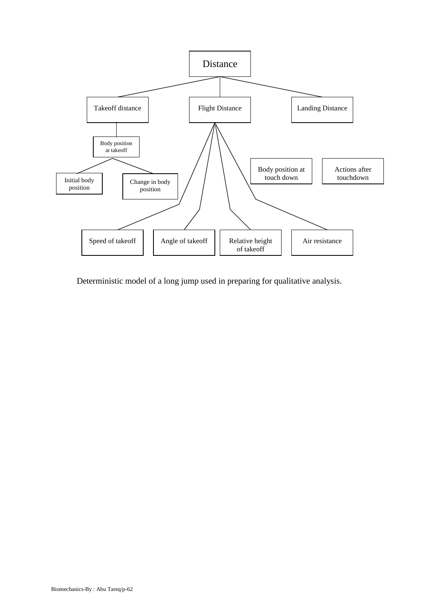

Deterministic model of a long jump used in preparing for qualitative analysis.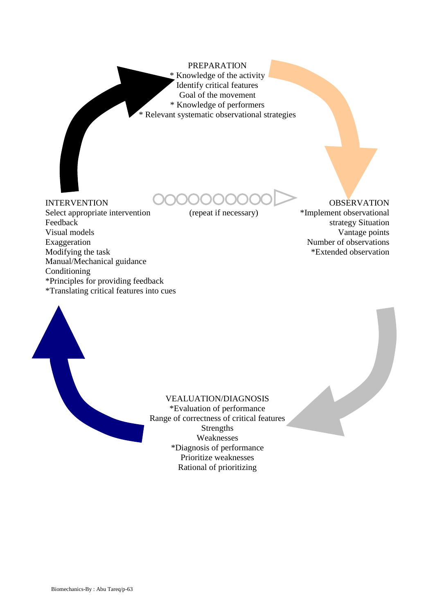## PREPARATION

\* Knowledge of the activity Identify critical features Goal of the movement \* Knowledge of performers \* Relevant systematic observational strategies

(repeat if necessary)

INTERVENTION Select appropriate intervention Feedback Visual models Exaggeration Modifying the task Manual/Mechanical guidance Conditioning \*Principles for providing feedback \*Translating critical features into cues

**OBSERVATION** \*Implement observational strategy Situation Vantage points Number of observations \*Extended observation



VEALUATION/DIAGNOSIS

\*Evaluation of performance Range of correctness of critical features Strengths Weaknesses \*Diagnosis of performance Prioritize weaknesses Rational of prioritizing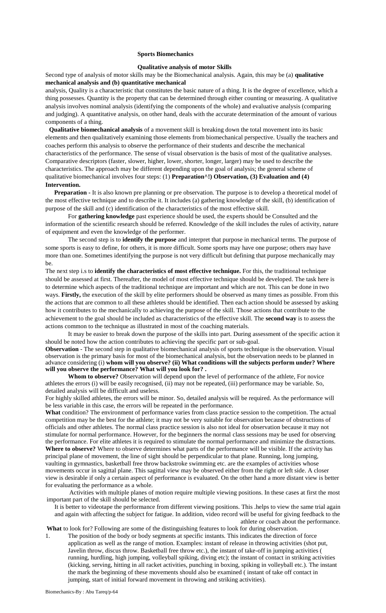#### **Sports Biomechanics**

#### **Qualitative analysis of motor Skills**

Second type of analysis of motor skills may be the Biomechanical analysis. Again, this may be (a) **qualitative mechanical analysis and (b) quantitative mechanical**

analysis, Quality is a characteristic that constitutes the basic nature of a thing. It is the degree of excellence, which a thing possesses. Quantity is the property that can be determined through either counting or measuring. A qualitative analysis involves nominal analysis (identifying the components of the whole) and evaluative analysis (comparing and judging). A quantitative analysis, on other hand, deals with the accurate determination of the amount of various components of a thing.

**Qualitative biomechanical analysis** of a movement skill is breaking down the total movement into its basic elements and then qualitatively examining those elements from biomechanical perspective. Usually the teachers and coaches perform this analysis to observe the performance of their students and describe the mechanical characteristics of the performance. The sense of visual observation is the basis of most of the qualitative analyses. Comparative descriptors (faster, slower, higher, lower, shorter, longer, larger) may be used to describe the characteristics. The approach may be different depending upon the goal of analysis; the general scheme of qualitative biomechanical involves four steps: (1) **Preparation^!) Observation, (3) Evaluation and (4) Intervention.**

**Preparation -** It is also known pre planning or pre observation. The purpose is to develop a theoretical model of the most effective technique and to describe it. It includes (a) gathering knowledge of the skill, (b) identification of purpose of the skill and (c) identification of the characteristics of the most effective skill.

For **gathering knowledge** past experience should be used, the experts should be Consulted and the information of the scientific research should be referred. Knowledge of the skill includes the rules of activity, nature of equipment and even the knowledge of the performer.

The second step is to **identify the purpose** and interpret that purpose in mechanical terms. The purpose of some sports is easy to define, for others, it is more difficult. Some sports may have one purpose; others may have more than one. Sometimes identifying the purpose is not very difficult but defining that purpose mechanically may be.

The next step i.s to **identify the characteristics of most effective technique.** For this, the traditional technique should be assessed at first. Thereafter, the model of most effective technique should be developed. The task here is to determine which aspects of the traditional technique are important and which are not. This can be done in two ways. **Firstly,** the execution of the skill by elite performers should be observed as many times as possible. From this the actions that are common to all these athletes should be identified. Then each action should be assessed by asking how it contributes to the mechanically to achieving the purpose of the skill. Those actions that contribute to the achievement to the goal should be included as characteristics of the effective skill. The **second way** is to assess the actions common to the technique as illustrated in most of the coaching materials.

It may be easier to break down the purpose of the skills into part. During assessment of the specific action it should be noted how the action contributes to achieving the specific part or sub-goal. **Observation** - The second step in qualitative biomechanical analysis of sports technique is the observation. Visual

observation is the primary basis for most of the biomechanical analysis, but the observation needs to be planned in advance considering (i) **whom will you observe? (ii) What conditions will the subjects perform under? Where will you observe the performance? What will you look for? .**

**Whom to observe?** Observation will depend upon the level of performance of the athlete, For novice athletes the errors (i) will be easily recognised, (ii) may not be repeated, (iii) performance may be variable. So, detailed analysis will be difficult and useless.

For highly skilled athletes, the errors will be minor. So, detailed analysis will be required. As the performance will be less variable in this case, the errors will be repeated in the performance.

**What** condition? The environment of performance varies from class practice session to the competition. The actual competition may be the best for the athlete; it may not be very suitable for observation because of obstructions of officials and other athletes. The normal class practice session is also not ideal for observation because it may not stimulate for normal performance. However, for the beginners the normal class sessions may be used for observing the performance. For elite athletes it is required to stimulate the normal performance and minimize the distractions. **Where to observe?** Where to observe determines what parts of the performance will be visible. If the activity has principal plane of movement, the line of sight should be perpendicular to that plane. Running, long jumping, vaulting in gymnastics, basketball free throw backstroke swimming etc. are the examples of activities whose movements occur in sagittal plane. This sagittal view may be observed either from the right or left side. A closer view is desirable if only a certain aspect of performance is evaluated. On the other hand a more distant view is better for evaluating the performance as a whole.

Activities with multiple planes of motion require multiple viewing positions. In these cases at first the most important part of the skill should be selected.

It is better to videotape the performance from different viewing positions. This .helps to view the same trial again and again with affecting the subject for fatigue. In addition, video record will be useful for giving feedback to the athlete or coach about the performance.

**What** to look for? Following are some of the distinguishing features to look for during observation.

1. The position of the body or body segments at specific instants. This indicates the direction of force application as well as the range of motion. Examples: instant of release in throwing activities (shot put, Javelin throw, discus throw. Basketball free throw etc.), the instant of take-off in jumping activities ( running, hurdling, high jumping, volleyball spiking, diving etc); the instant of contact in striking activities (kicking, serving, hitting in all racket activities, punching in boxing, spiking in volleyball etc.). The instant the mark the beginning of these movements should also be examined ( instant of take off contact in jumping, start of initial forward movement in throwing and striking activities).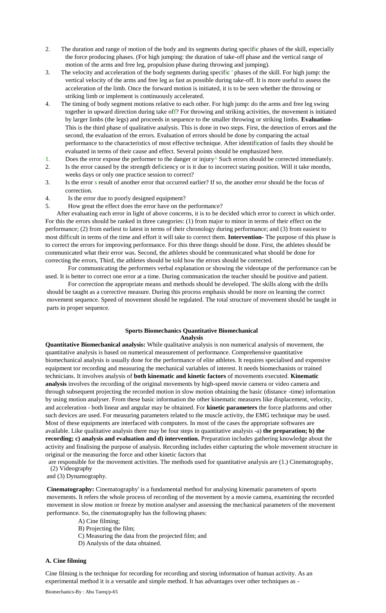- 2. The duration and range of motion of the body and its segments during specific phases of the skill, especially the force producing phases. (For high jumping: the duration of take-off phase and the vertical range of motion of the arms and free leg, propulsion phase during throwing and jumping).
- 3. The velocity and acceleration of the body segments during specific ' phases of the skill. For high jump: the vertical velocity of the arms and free leg as fast as possible during take-off. It is more useful to assess the acceleration of the limb. Once the forward motion is initiated, it is to be seen whether the throwing or striking limb or implement is continuously accelerated.
- 4. The timing of body segment motions relative to each other. For high jump: do the arms and free leg swing together in upward direction during take off? For throwing and striking activities, the movement is initiated by larger limbs (the legs) and proceeds in sequence to the smaller throwing or striking limbs. **Evaluation-**This is the third phase of qualitative analysis. This is done in two steps. First, the detection of errors and the second, the evaluation of the errors. Evaluation of errors should be done by comparing the actual performance to the characteristics of most effective technique. After identification of faults they should be evaluated in terms of their cause and effect. Several points should be emphasized here.
- 1. Does the error expose the performer to the danger or injury<sup> $\wedge$ </sup> Such errors should be corrected immediately.
- 2. Is the error caused by the strength deficiency or is it due to incorrect staring position. Will it take months, weeks days or only one practice session to correct?
- 3. Is the error s result of another error that occurred earlier? If so, the another error should be the focus of correction.
- 4. Is the error due to poorly designed equipment?
- 5. How great the effect does the error have on the performance?

After evaluating each error in light of above concerns, it is to be decided which error to correct in which order. For this the errors should be ranked in three categories: (1) from major to minor in terms of their effect on the performance; (2) from earliest to latest in terms of their chronology during performance; and (3) from easiest to most difficult in terms of the time and effort it will take to correct them. **Intervention-** The purpose of this phase is to correct the errors for improving performance. For this three things should be done. First, the athletes should be communicated what their error was. Second, the athletes should be communicated what should be done for correcting the errors, Third, the athletes should be told how the errors should be corrected.

For communicating the performers verbal explanation or showing the videotape of the performance can be used. It is better to correct one error at a time. During communication the teacher should be positive and patient.

For correction the appropriate means and methods should be developed. The skills along with the drills should be taught as a corrective measure. During this process emphasis should be more on learning the correct movement sequence. Speed of movement should be regulated. The total structure of movement should be taught in parts in proper sequence.

#### **Sports Biomechanics Quantitative Biomechanical Analysis**

**Quantitative Biomechanical analysis:** While qualitative analysis is non numerical analysis of movement, the quantitative analysis is based on numerical measurement of performance. Comprehensive quantitative biomechanical analysis is usually done for the performance of elite athletes. It requires specialised and expensive equipment tor recording and measuring the mechanical variables of interest. It needs biomechanists or trained technicians. It involves analysis of **both kinematic and kinetic factors** of movements executed. **Kinematic analysis** involves the recording of the original movements by high-speed movie camera or video camera and through subsequent projecting the recorded motion in slow motion obtaining the basic (distance -time) information by using motion analyser. From these basic information the other kinematic measures like displacement, velocity, and acceleration - both linear and angular may be obtained. For **kinetic parameters** the force platforms and other such devices are used. For measuring parameters related to the muscle activity, the EMG technique may be used. Most of these equipments are interfaced with computers. In most of the cases the appropriate softwares are available. Like qualitative analysis there may be four steps in quantitative analysis -a) **the preparation; b) the recording; c) analysis and evaluation and d) intervention.** Preparation includes gathering knowledge about the activity and finalising the purpose of analysis. Recording includes either capturing the whole movement structure in original or the measuring the force and other kinetic factors that

are responsible for the movement activities. The methods used for quantitative analysis are (1.) Cinematography, (2) Videography

and (3) Dynamography.

**Cinematography:** Cinematography' is a fundamental method for analysing kinematic parameters of sports movements. It refers the whole process of recording of the movement by a movie camera, examining the recorded movement in slow motion or freeze by motion analyser and assessing the mechanical parameters of the movement performance. So, the cinematography has the following phases:

- A) Cine filming;
- B) Projecting the film;
- C) Measuring the data from the projected film; and
- D) Analysis of the data obtained.

#### **A. Cine filming**

Cine filming is the technique for recording for recording and storing information of human activity. As an experimental method it is a versatile and simple method. It has advantages over other techniques as -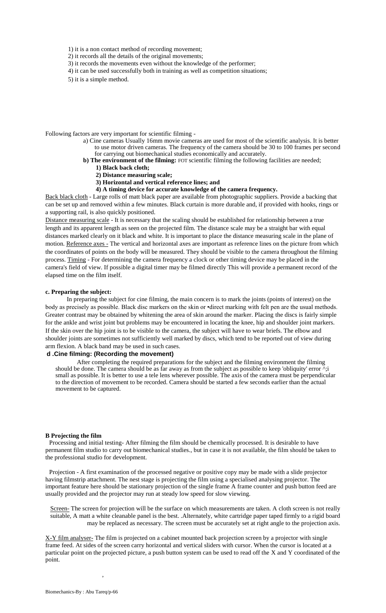1) it is a non contact method of recording movement;

2) it records all the details of the original movements;

- 3) it records the movements even without the knowledge of the performer;
- 4) it can be used successfully both in training as well as competition situations;

5) it is a simple method.

Following factors are very important for scientific filming -

- a) Cine cameras Usually 16mm movie cameras are used for most of the scientific analysis. It is better to use motor driven cameras. The frequency of the camera should be 30 to 100 frames per second for carrying out biomechanical studies economically and accurately.
- **b) The environment of the filming:** FOT scientific filming the following facilities are needed;
	- **1) Black back cloth;**
	- **2) Distance measuring scale;**
	- **3) Horizontal and vertical reference lines; and**
	- **4) A timing device for accurate knowledge of the camera frequency.**

Back black cloth - Large rolls of matt black paper are available from photographic suppliers. Provide a backing that can be set up and removed within a few minutes. Black curtain is more durable and, if provided with hooks, rings or a supporting rail, is also quickly positioned.

Distance measuring scale - It is necessary that the scaling should be established for relationship between a true length and its apparent length as seen on the projected film. The distance scale may be a straight bar with equal distances marked clearly on it black and white. It is important to place the distance measuring scale in the plane of motion. Reference axes - The vertical and horizontal axes are important as reference lines on the picture from which the coordinates of points on the body will be measured. They should be visible to the camera throughout the filming process. Timing - For determining the camera frequency a clock or other timing device may be placed in the camera's field of view. If possible a digital timer may be filmed directly This will provide a permanent record of the elapsed time on the film itself.

#### **c. Preparing the subject:**

In preparing the subject for cine filming, the main concern is to mark the joints (points of interest) on the body as precisely as possible. Black disc markers on the skin or •direct marking with felt pen are the usual methods. Greater contrast may be obtained by whitening the area of skin around the marker. Placing the discs is fairly simple for the ankle and wrist joint but problems may be encountered in locating the knee, hip and shoulder joint markers. If the skin over the hip joint is to be visible to the camera, the subject will have to wear briefs. The elbow and shoulder joints are sometimes not sufficiently well marked by discs, which tend to be reported out of view during arm flexion. A black band may be used in such cases.

#### **d .Cine filming: (Recording the movement)**

After completing the required preparations for the subject and the filming environment the filming should be done. The camera should be as far away as from the subject as possible to keep 'obliquity' error  $\prime$ small as possible. It is better to use a tele lens wherever possible. The axis of the camera must be perpendicular to the direction of movement to be recorded. Camera should be started a few seconds earlier than the actual movement to be captured.

#### **B Projecting the film**

Processing and initial testing- After filming the film should be chemically processed. It is desirable to have permanent film studio to carry out biomechanical studies., but in case it is not available, the film should be taken to the professional studio for development.

Projection - A first examination of the processed negative or positive copy may be made with a slide projector having filmstrip attachment. The nest stage is projecting the film using a specialised analysing projector. The important feature here should be stationary projection of the single frame A frame counter and push button feed are usually provided and the projector may run at steady low speed for slow viewing.

Screen- The screen for projection will be the surface on which measurements are taken. A cloth screen is not really suitable, A matt a white cleanable panel is the best. .Alternately, white cartridge paper taped firmly to a rigid board may be replaced as necessary. The screen must be accurately set at right angle to the projection axis.

X-Y film analyser- The film is projected on a cabinet mounted back projection screen by a projector with single frame feed. At sides of the screen carry horizontal and vertical sliders with cursor. When the cursor is located at a particular point on the projected picture, a push button system can be used to read off the X and Y coordinated of the point.

,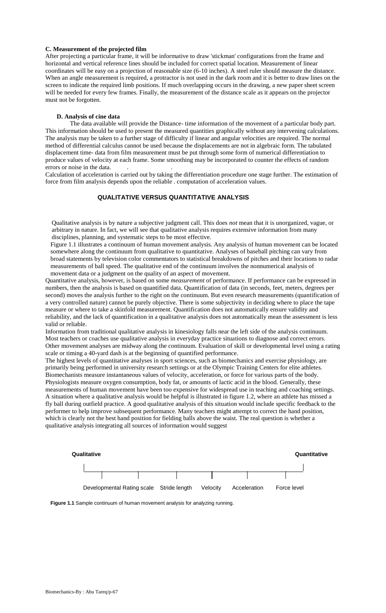#### **C. Measurement of the projected film**

After projecting a particular frame, it will be informative to draw 'stickman' configurations from the frame and horizontal and vertical reference lines should be included for correct spatial location. Measurement of linear coordinates will be easy on a projection of reasonable size (6-10 inches). A steel ruler should measure the distance. When an angle measurement is required, a protractor is not used in the dark room and it is better to draw lines on the screen to indicate the required limb positions. If much overlapping occurs in the drawing, a new paper sheet screen will be needed for every few frames. Finally, the measurement of the distance scale as it appears on the projector must not be forgotten.

### **D. Analysis of cine data**

The data available will provide the Distance- time information of the movement of a particular body part. This information should be used to present the measured quantities graphically without any intervening calculations. The analysis may be taken to a further stage of difficulty if linear and angular velocities are required. The normal method of differential calculus cannot be used because the displacements are not in algebraic form. The tabulated displacement time- data from film measurement must be put through some form of numerical differentiation to produce values of velocity at each frame. Some smoothing may be incorporated to counter the effects of random errors or noise in the data.

Calculation of acceleration is carried out by taking the differentiation procedure one stage further. The estimation of force from film analysis depends upon the reliable . computation of acceleration values.

### **QUALITATIVE VERSUS QUANTITATIVE ANALYSIS**

Qualitative analysis is by nature a subjective judgment call. This does *not* mean that it is unorganized, vague, or arbitrary in nature. In fact, we will see that qualitative analysis requires extensive information from many disciplines, planning, and systematic steps to be most effective.

Figure 1.1 illustrates a continuum of human movement analysis. Any analysis of human movement can be located somewhere along the continuum from qualitative to quantitative. Analyses of baseball pitching can vary from broad statements by television color commentators to statistical breakdowns of pitches and their locations to radar measurements of ball speed. The qualitative end of the continuum involves the nonnumerical analysis of movement data or a judgment on the quality of an aspect of movement.

Quantitative analysis, however, is based on some *measurement* of performance. If performance can be expressed in numbers, then the analysis is based on quantified data. Quantification of data (in seconds, feet, meters, degrees per second) moves the analysis further to the right on the continuum. But even research measurements (quantification of a very controlled nature) cannot be purely objective. There is some subjectivity in deciding where to place the tape measure or where to take a skinfold measurement. Quantification does not automatically ensure validity and reliability, and the lack of quantification in a qualitative analysis does not automatically mean the assessment is less valid or reliable.

Information from traditional qualitative analysis in kinesiology falls near the left side of the analysis continuum. Most teachers or coaches use qualitative analysis in everyday practice situations to diagnose and correct errors. Other movement analyses are midway along the continuum. Evaluation of skill or developmental level using a rating scale or timing a 40-yard dash is at the beginning of quantified performance.

The highest levels of quantitative analyses in sport sciences, such as biomechanics and exercise physiology, are primarily being performed in university research settings or at the Olympic Training Centers for elite athletes. Biomechanists measure instantaneous values of velocity, acceleration, or force for various parts of the body. Physiologists measure oxygen consumption, body fat, or amounts of lactic acid in the blood. Generally, these measurements of human movement have been too expensive for widespread use in teaching and coaching settings. A situation where a qualitative analysis would be helpful is illustrated in figure 1.2, where an athlete has missed a fly ball during outfield practice. A good qualitative analysis of this situation would include specific feedback to the performer to help improve subsequent performance. Many teachers might attempt to correct the hand position, which is clearly not the best hand position for fielding balls above the waist. The real question is whether a qualitative analysis integrating all sources of information would suggest



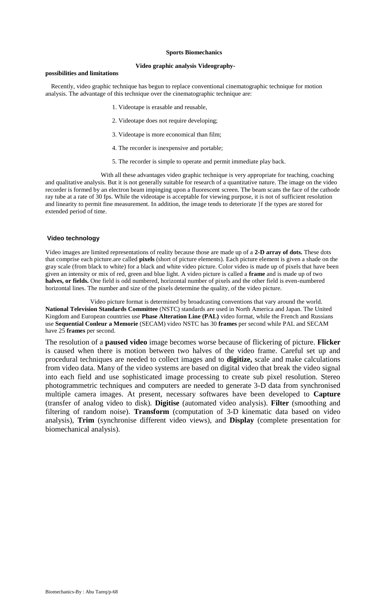#### **Sports Biomechanics**

### **Video graphic analysis Videography-**

#### **possibilities and limitations**

Recently, video graphic technique has begun to replace conventional cinematographic technique for motion analysis. The advantage of this technique over the cinematographic technique are:

- 1. Videotape is erasable and reusable,
- 2. Videotape does not require developing;
- 3. Videotape is more economical than film;
- 4. The recorder is inexpensive and portable;
- 5. The recorder is simple to operate and permit immediate play back.

With all these advantages video graphic technique is very appropriate for teaching, coaching and qualitative analysis. But it is not generally suitable for research of a quantitative nature. The image on the video recorder is formed by an electron beam impinging upon a fluorescent screen. The beam scans the face of the cathode ray tube at a rate of 30 fps. While the videotape is acceptable for viewing purpose, it is not of sufficient resolution and linearity to permit fine measurement. In addition, the image tends to deteriorate }f the types are stored for extended period of time.

#### **Video technology**

Video images are limited representations of reality because those are made up of a **2-D array of dots.** These dots that comprise each picture.are called **pixels** (short of picture elements). Each picture element is given a shade on the gray scale (from black to white) for a black and white video picture. Color video is made up of pixels that have been given an intensity or mix of red, green and blue light. A video picture is called a **frame** and is made up of two **halves, or fields.** One field is odd numbered, horizontal number of pixels and the other field is even-numbered horizontal lines. The number and size of the pixels determine the quality, of the video picture.

Video picture format is determined by broadcasting conventions that vary around the world. **National Television Standards Committee** (NSTC) standards are used in North America and Japan. The United Kingdom and European countries use **Phase Alteration Line (PAL)** video format, while the French and Russians use **Sequential Conleur a Memorie** (SECAM) video NSTC has 30 **frames** per second while PAL and SECAM have 25 **frames** per second.

The resolution of a **paused video** image becomes worse because of flickering of picture. **Flicker** is caused when there is motion between two halves of the video frame. Careful set up and procedural techniques are needed to collect images and to **digitize,** scale and make calculations from video data. Many of the video systems are based on digital video that break the video signal into each field and use sophisticated image processing to create sub pixel resolution. Stereo photogrammetric techniques and computers are needed to generate 3-D data from synchronised multiple camera images. At present, necessary softwares have been developed to **Capture** (transfer of analog video to disk). **Digitise** (automated video analysis). **Filter** (smoothing and filtering of random noise). **Transform** (computation of 3-D kinematic data based on video analysis), **Trim** (synchronise different video views), and **Display** (complete presentation for biomechanical analysis).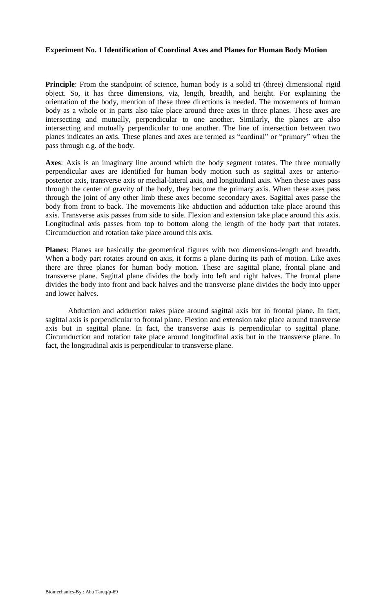## **Experiment No. 1 Identification of Coordinal Axes and Planes for Human Body Motion**

**Principle**: From the standpoint of science, human body is a solid tri (three) dimensional rigid object. So, it has three dimensions, viz, length, breadth, and height. For explaining the orientation of the body, mention of these three directions is needed. The movements of human body as a whole or in parts also take place around three axes in three planes. These axes are intersecting and mutually, perpendicular to one another. Similarly, the planes are also intersecting and mutually perpendicular to one another. The line of intersection between two planes indicates an axis. These planes and axes are termed as "cardinal" or "primary" when the pass through c.g. of the body.

**Axes**: Axis is an imaginary line around which the body segment rotates. The three mutually perpendicular axes are identified for human body motion such as sagittal axes or anterioposterior axis, transverse axis or medial-lateral axis, and longitudinal axis. When these axes pass through the center of gravity of the body, they become the primary axis. When these axes pass through the joint of any other limb these axes become secondary axes. Sagittal axes passe the body from front to back. The movements like abduction and adduction take place around this axis. Transverse axis passes from side to side. Flexion and extension take place around this axis. Longitudinal axis passes from top to bottom along the length of the body part that rotates. Circumduction and rotation take place around this axis.

**Planes**: Planes are basically the geometrical figures with two dimensions-length and breadth. When a body part rotates around on axis, it forms a plane during its path of motion. Like axes there are three planes for human body motion. These are sagittal plane, frontal plane and transverse plane. Sagittal plane divides the body into left and right halves. The frontal plane divides the body into front and back halves and the transverse plane divides the body into upper and lower halves.

Abduction and adduction takes place around sagittal axis but in frontal plane. In fact, sagittal axis is perpendicular to frontal plane. Flexion and extension take place around transverse axis but in sagittal plane. In fact, the transverse axis is perpendicular to sagittal plane. Circumduction and rotation take place around longitudinal axis but in the transverse plane. In fact, the longitudinal axis is perpendicular to transverse plane.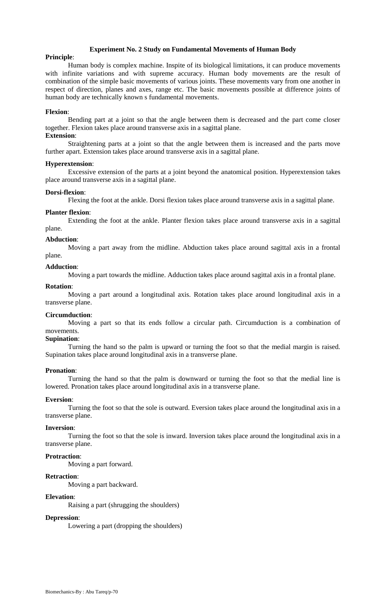### **Experiment No. 2 Study on Fundamental Movements of Human Body**

### **Principle**:

Human body is complex machine. Inspite of its biological limitations, it can produce movements with infinite variations and with supreme accuracy. Human body movements are the result of combination of the simple basic movements of various joints. These movements vary from one another in respect of direction, planes and axes, range etc. The basic movements possible at difference joints of human body are technically known s fundamental movements.

### **Flexion**:

Bending part at a joint so that the angle between them is decreased and the part come closer together. Flexion takes place around transverse axis in a sagittal plane.

## **Extension**:

Straightening parts at a joint so that the angle between them is increased and the parts move further apart. Extension takes place around transverse axis in a sagittal plane.

### **Hyperextension**:

Excessive extension of the parts at a joint beyond the anatomical position. Hyperextension takes place around transverse axis in a sagittal plane.

### **Dorsi-flexion**:

Flexing the foot at the ankle. Dorsi flexion takes place around transverse axis in a sagittal plane.

### **Planter flexion**:

Extending the foot at the ankle. Planter flexion takes place around transverse axis in a sagittal plane.

### **Abduction**:

Moving a part away from the midline. Abduction takes place around sagittal axis in a frontal plane.

### **Adduction**:

Moving a part towards the midline. Adduction takes place around sagittal axis in a frontal plane.

### **Rotation**:

Moving a part around a longitudinal axis. Rotation takes place around longitudinal axis in a transverse plane.

### **Circumduction**:

Moving a part so that its ends follow a circular path. Circumduction is a combination of movements.

## **Supination**:

Turning the hand so the palm is upward or turning the foot so that the medial margin is raised. Supination takes place around longitudinal axis in a transverse plane.

### **Pronation**:

Turning the hand so that the palm is downward or turning the foot so that the medial line is lowered. Pronation takes place around longitudinal axis in a transverse plane.

### **Eversion**:

Turning the foot so that the sole is outward. Eversion takes place around the longitudinal axis in a transverse plane.

### **Inversion**:

Turning the foot so that the sole is inward. Inversion takes place around the longitudinal axis in a transverse plane.

### **Protraction**:

Moving a part forward.

### **Retraction**:

Moving a part backward.

### **Elevation**:

Raising a part (shrugging the shoulders)

## **Depression**:

Lowering a part (dropping the shoulders)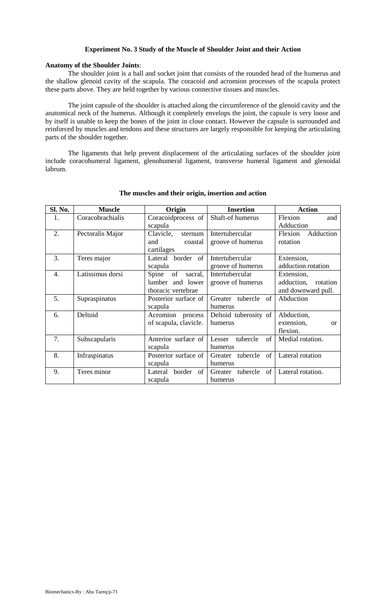## **Experiment No. 3 Study of the Muscle of Shoulder Joint and their Action**

### **Anatomy of the Shoulder Joints**:

The shoulder joint is a ball and socket joint that consists of the rounded head of the humerus and the shallow glenoid cavity of the scapula. The coracoid and acromion processes of the scapula protect these parts above. They are held together by various connective tissues and muscles.

The joint capsule of the shoulder is attached along the circumference of the glenoid cavity and the anatomical neck of the humerus. Although it completely envelops the joint, the capsule is very loose and by itself is unable to keep the bones of the joint in close contact. However the capsule is surrounded and reinforced by muscles and tendons and these structures are largely responsible for keeping the articulating parts of the shoulder together.

The ligaments that help prevent displacement of the articulating surfaces of the shoulder joint include coracohumeral ligament, glenohumeral ligament, transverse humeral ligament and glenoidal labrum.

| Sl. No. | <b>Muscle</b>    | Origin                  | <b>Insertion</b>          | <b>Action</b>          |
|---------|------------------|-------------------------|---------------------------|------------------------|
| 1.      | Coracobrachialis | Coracoidprocess of      | Shaft-of humerus          | Flexion<br>and         |
|         |                  | scapula                 |                           | Adduction              |
| 2.      | Pectoralis Major | Clavicle,<br>sternum    | Intertubercular           | Adduction<br>Flexion   |
|         |                  | and<br>coastal          | groove of humerus         | rotation               |
|         |                  | cartilages              |                           |                        |
| 3.      | Teres major      | Lateral<br>border<br>of | Intertubercular           | Extension,             |
|         |                  | scapula                 | groove of humerus         | adduction rotation     |
| 4.      | Latissimus dorsi | of<br>Spine<br>sacral,  | Intertubercular           | Extension,             |
|         |                  | lumber and lower        | groove of humerus         | adduction,<br>rotation |
|         |                  | thoracic vertebrae      |                           | and downward pull.     |
| 5.      | Supraspinatus    | Posterior surface of    | Greater tubercle of       | Abduction              |
|         |                  | scapula                 | humerus                   |                        |
| 6.      | Deltoid          | Acromion<br>process     | Deltoid tuberosity of     | Abduction,             |
|         |                  | of scapula, clavicle.   | humerus                   | extension,<br>or       |
|         |                  |                         |                           | flexion.               |
| 7.      | Subscapularis    | Anterior surface of     | of<br>Lesser<br>tubercle  | Medial rotation.       |
|         |                  | scapula                 | humerus                   |                        |
| 8.      | Infraspinatus    | Posterior surface of    | Greater<br>tubercle<br>of | Lateral rotation       |
|         |                  | scapula                 | humerus                   |                        |
| 9.      | Teres minor      | Lateral<br>border<br>of | tubercle<br>of<br>Greater | Lateral rotation.      |
|         |                  | scapula                 | humerus                   |                        |

## **The muscles and their origin, insertion and action**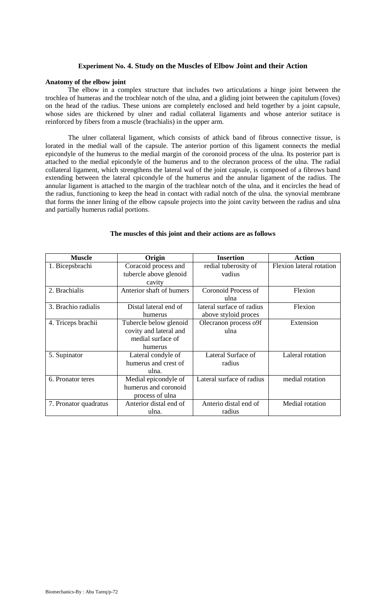## **Experiment No. 4. Study on the Muscles of Elbow Joint and their Action**

### **Anatomy of the elbow joint**

The elbow in a complex structure that includes two articulations a hinge joint between the trochlea of humeras and the trochlear notch of the ulna, and a gliding joint between the capitulum (foves) on the head of the radius. These unions are completely enclosed and held together by a joint capsule, whose sides are thickened by ulner and radial collateral ligaments and whose anterior sutitace is reinforced by fibers from a muscle (brachialis) in the upper arm.

The ulner collateral ligament, which consists of athick band of fibrous connective tissue, is lorated in the medial wall of the capsule. The anterior portion of this ligament connects the medial epicondyle of the humerus to the medial margin of the coronoid process of the ulna. Its posterior part is attached to the medial epicondyle of the humerus and to the olecranon process of the ulna. The radial collateral ligament, which strengthens the lateral wal of the joint capsule, is composed of a fibrows band extending between the lateral cpicondyle of the humerus and the annular ligament of the radius. The annular ligament is attached to the margin of the trachlear notch of the ulna, and it encircles the head of the radius, functioning to keep the head in contact with radial notch of the ulna. the synovial membrane that forms the inner lining of the elbow capsule projects into the joint cavity between the radius and ulna and partially humerus radial portions.

| <b>Muscle</b>         | Origin                   | <b>Insertion</b>          | Action                   |
|-----------------------|--------------------------|---------------------------|--------------------------|
| 1. Bicepsbrachi       | Coracoid process and     | redial tuberosity of      | Flexion lateral rotation |
|                       | tubercle above glenoid   | vadius                    |                          |
|                       | cavity                   |                           |                          |
| 2. Brachialis         | Anterior shaft of humers | Coronoid Process of       | Flexion                  |
|                       |                          | ulna                      |                          |
| 3. Brachio radialis   | Distal lateral end of    | lateral surface of radius | Flexion                  |
|                       | humerus                  | above styloid proces      |                          |
| 4. Triceps brachii    | Tubercle below glenoid   | Olecranon process o9f     | Extension                |
|                       | covity and lateral and   | ulna                      |                          |
|                       | medial surface of        |                           |                          |
|                       | humerus                  |                           |                          |
| 5. Supinator          | Lateral condyle of       | Lateral Surface of        | Laleral rotation         |
|                       | humerus and crest of     | radius                    |                          |
|                       | ulna.                    |                           |                          |
| 6. Pronator teres     | Medial epicondyle of     | Lateral surface of radius | medial rotation          |
|                       | humerus and coronoid     |                           |                          |
|                       | process of ulna          |                           |                          |
| 7. Pronator quadratus | Anterior distal end of   | Anterio distal end of     | Medial rotation          |
|                       | ulna.                    | radius                    |                          |

### **The muscles of this joint and their actions are as follows**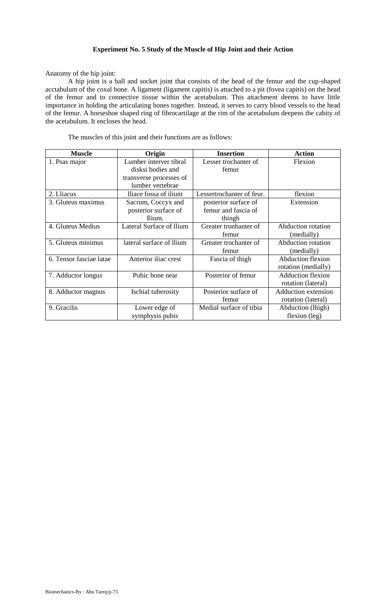#### **Experiment No. 5 Study of the Muscle of Hip Joint and their Action**

Anatomy of the hip joint:

A hip joint is a ball and socket joint that consists of the head of the femur and the cup-shaped acctabulum of the coxal bone. A ligament (ligament capitis) is attached to a pit (fovea capitis) on the head of the femur and to connective tissue within the acetabulum. This attachment deems to have little importance in holding the articulating bones together. Instead, it serves to carry blood vessels to the head of the femur. A horseshoe shaped ring of fibrocartilage at the rim of the acetabulum deepens the cabity of the acetabulum. It encloses the head.

The muscles of this joint and their functions are as follows:

| <b>Muscle</b>           | Origin                   | <b>Insertion</b>          | <b>Action</b>            |
|-------------------------|--------------------------|---------------------------|--------------------------|
| 1. Psas major           | Lumber interver tibral   | Lesser trochanter of      | Flexion                  |
|                         | disksi bodies and        | femur                     |                          |
|                         | transverse processes of  |                           |                          |
|                         | lumber vertebrae         |                           |                          |
| 2. Lliacus              | lliace fossa of ilium    | Lessertrochanter of feur. | flexion                  |
| 3. Gluteus maximus      | Sacrum, Coccyx and       | posterior surface of      | Extension                |
|                         | posterior surface of     | femur and fascia of       |                          |
|                         | Ilium.                   | thingh                    |                          |
| 4. Gluteus Medius       | Lateral Surface of Ilium | Greater tronhanter of     | Abduction rotation       |
|                         |                          | femur                     | (medially)               |
| 5. Gluteus minimus      | lateral surface of llium | Greater trochanter of     | Abduction rotation       |
|                         |                          | femur                     | (medially)               |
| 6. Tensor fasciae latae | Anterior iliac crest     | Fascia of thigh           | <b>Abduction flexion</b> |
|                         |                          |                           | rotation (medially)      |
| 7. Adductor longus      | Pubic bone near          | Posterior of femur        | <b>Adduction flexion</b> |
|                         |                          |                           | rotation (lateral)       |
| 8. Adductor magnus      | Ischial tuberosity       | Posterior surface of      | Adduction extension      |
|                         |                          | femur                     | rotation (lateral)       |
| 9. Gracilis             | Lower edge of            | Medial surface of tibia   | Abduction (lhigh)        |
|                         | symphysis pubis          |                           | flexion (leg)            |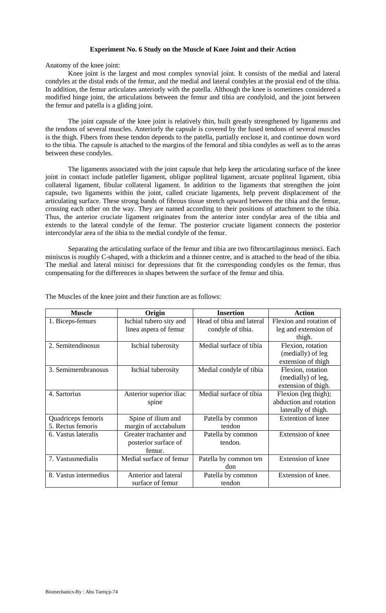#### **Experiment No. 6 Study on the Muscle of Knee Joint and their Action**

Anatomy of the knee joint:

Knee joint is the largest and most complex synovial joint. It consists of the medial and lateral condyles at the distal ends of the femur, and the medial and lateral condyles at the proxial end of the tibia. In addition, the femur articulates anteriorly with the patella. Although the knee is sometimes considered a modified hinge joint, the articulations between the femur and tibia are condyloid, and the joint between the femur and patella is a gliding joint.

The joint capsule of the knee joint is relatively thin, built greatly strengthened by ligaments and the tendons of several muscles. Anteriorly the capsule is covered by the fused tendons of several muscles is the thigh. Fibers from these tendon depends to the patella, partially enclose it, and continue down word to the tibia. The capsule is attached to the margins of the femoral and tibia condyles as well as to the areas between these condyles.

The ligaments associated with the joint capsule that help keep the articulating surface of the knee joint in contact include patleller ligament, obligue popliteal ligament, arcuate popliteal ligament, tibia collateral ligament, fibular collateral ligament. In addition to the ligaments that strengthen the joint capsule, two ligaments within the joint, called cruciate ligaments, help prevent displacement of the articulating surface. These strong bands of fibrous tissue stretch upward between the tibia and the femur, crossing each other on the way. They are named according to their positions of attachment to the tibia. Thus, the anterior cruciate ligament originates from the anterior inter condylar area of the tibia and extends to the lateral condyle of the femur. The posterior cruciate ligament connects the posterior intercondylar area of the tibia to the medial condyle of the femur.

Separating the articulating surface of the femur and tibia are two fibrocartilaginous menisci. Each miniscus is roughly C-shaped, with a thickrim and a thinner centre, and is attached to the head of the tibia. The medial and lateral minisci for depressions that fit the corresponding condyles os the femur, thus compensating for the differences in shapes between the surface of the femur and tibia.

| <b>Muscle</b>         | Origin                  | <b>Insertion</b>          | <b>Action</b>           |
|-----------------------|-------------------------|---------------------------|-------------------------|
| 1. Biceps-femurs      | Ischial tubero sity and | Head of tibia and lateral | Flexion and rotation of |
|                       | linea aspera of femur   | condyle of tibia.         | leg and extension of    |
|                       |                         |                           | thigh.                  |
| 2. Semitendinosus     | Ischial tuberosity      | Medial surface of tibia   | Flexion, rotation       |
|                       |                         |                           | (medially) of leg       |
|                       |                         |                           | extension of thigh      |
| 3. Semimembranosus    | Ischial tuberosity      | Medial condyle of tibia   | Flexion, rotation       |
|                       |                         |                           | (medially) of leg,      |
|                       |                         |                           | extension of thigh.     |
| 4. Sartorius          | Anterior superior iliac | Medial surface of tibia   | Flexion (leg thigh);    |
|                       | spine                   |                           | abduction and rotation  |
|                       |                         |                           | laterally of thigh.     |
| Quadriceps femoris    | Spine of ilium and      | Patella by common         | Extention of knee       |
| 5. Rectus femoris     | margin of acctabulum    | tendon                    |                         |
| 6. Vastus lateralis   | Greater trachanter and  | Patella by common         | Extension of knee       |
|                       | posterior surface of    | tendon.                   |                         |
|                       | femur.                  |                           |                         |
| 7. Vastusmedialis     | Medial surface of femur | Patella by common ten     | Extension of knee       |
|                       |                         | don                       |                         |
| 8. Vastus intermedius | Anterior and lateral    | Patella by common         | Extension of knee.      |
|                       | surface of femur        | tendon                    |                         |

The Muscles of the knee joint and their function are as follows: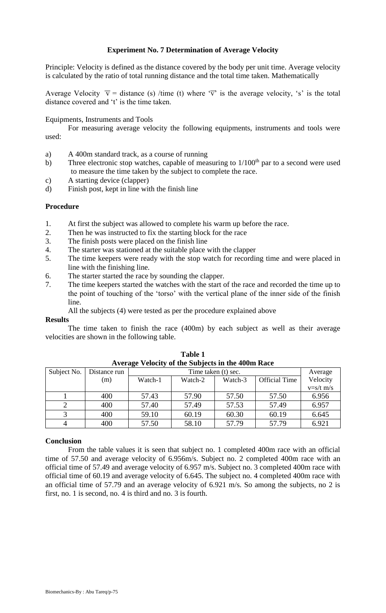## **Experiment No. 7 Determination of Average Velocity**

Principle: Velocity is defined as the distance covered by the body per unit time. Average velocity is calculated by the ratio of total running distance and the total time taken. Mathematically

Average Velocity  $\overline{v}$  = distance (s) /time (t) where  $\overline{v}$  is the average velocity, 's' is the total distance covered and 't' is the time taken.

#### Equipments, Instruments and Tools

For measuring average velocity the following equipments, instruments and tools were used:

- a) A 400m standard track, as a course of running
- b) Three electronic stop watches, capable of measuring to  $1/100<sup>th</sup>$  par to a second were used to measure the time taken by the subject to complete the race.
- c) A starting device (clapper)
- d) Finish post, kept in line with the finish line

#### **Procedure**

- 1. At first the subject was allowed to complete his warm up before the race.
- 2. Then he was instructed to fix the starting block for the race
- 3. The finish posts were placed on the finish line
- 4. The starter was stationed at the suitable place with the clapper
- 5. The time keepers were ready with the stop watch for recording time and were placed in line with the finishing line.
- 6. The starter started the race by sounding the clapper.
- 7. The time keepers started the watches with the start of the race and recorded the time up to the point of touching of the 'torso' with the vertical plane of the inner side of the finish line.
	- All the subjects (4) were tested as per the procedure explained above

#### **Results**

The time taken to finish the race (400m) by each subject as well as their average velocities are shown in the following table.

| $11.01$ $\mu_{\rm N}$ $\sim$ $1000$ $\mu_{\rm N}$ of the bublic model in the Toom Take $\sigma$ |              |         |                                            |                     |       |             |  |
|-------------------------------------------------------------------------------------------------|--------------|---------|--------------------------------------------|---------------------|-------|-------------|--|
| Subject No.                                                                                     | Distance run |         |                                            | Time taken (t) sec. |       | Average     |  |
|                                                                                                 | (m)          | Watch-1 | <b>Official Time</b><br>Watch-3<br>Watch-2 |                     |       |             |  |
|                                                                                                 |              |         |                                            |                     |       | $v=s/t$ m/s |  |
|                                                                                                 | 400          | 57.43   | 57.90                                      | 57.50               | 57.50 | 6.956       |  |
|                                                                                                 | 400          | 57.40   | 57.49                                      | 57.53               | 57.49 | 6.957       |  |
|                                                                                                 | 400          | 59.10   | 60.19                                      | 60.30               | 60.19 | 6.645       |  |
|                                                                                                 | 400          | 57.50   | 58.10                                      | 57.79               | 57.79 | 6.921       |  |

**Table 1 Average Velocity of the Subjects in the 400m Race**

#### **Conclusion**

From the table values it is seen that subject no. 1 completed 400m race with an official time of 57.50 and average velocity of 6.956m/s. Subject no. 2 completed 400m race with an official time of 57.49 and average velocity of 6.957 m/s. Subject no. 3 completed 400m race with official time of 60.19 and average velocity of 6.645. The subject no. 4 completed 400m race with an official time of 57.79 and an average velocity of 6.921 m/s. So among the subjects, no 2 is first, no. 1 is second, no. 4 is third and no. 3 is fourth.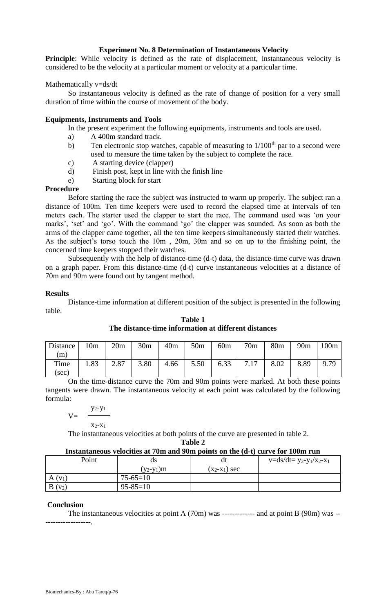## **Experiment No. 8 Determination of Instantaneous Velocity**

**Principle**: While velocity is defined as the rate of displacement, instantaneous velocity is considered to be the velocity at a particular moment or velocity at a particular time.

#### Mathematically v=ds/dt

So instantaneous velocity is defined as the rate of change of position for a very small duration of time within the course of movement of the body.

#### **Equipments, Instruments and Tools**

In the present experiment the following equipments, instruments and tools are used.

- a) A 400m standard track.
- b) Ten electronic stop watches, capable of measuring to  $1/100<sup>th</sup>$  par to a second were used to measure the time taken by the subject to complete the race.
- c) A starting device (clapper)
- d) Finish post, kept in line with the finish line
- e) Starting block for start

### **Procedure**

Before starting the race the subject was instructed to warm up properly. The subject ran a distance of 100m. Ten time keepers were used to record the elapsed time at intervals of ten meters each. The starter used the clapper to start the race. The command used was 'on your marks', 'set' and 'go'. With the command 'go' the clapper was sounded. As soon as both the arms of the clapper came together, all the ten time keepers simultaneously started their watches. As the subject's torso touch the 10m , 20m, 30m and so on up to the finishing point, the concerned time keepers stopped their watches.

Subsequently with the help of distance-time (d-t) data, the distance-time curve was drawn on a graph paper. From this distance-time (d-t) curve instantaneous velocities at a distance of 70m and 90m were found out by tangent method.

#### **Results**

Distance-time information at different position of the subject is presented in the following table. **Table 1**

| танн т                                               |  |
|------------------------------------------------------|--|
| The distance-time information at different distances |  |
|                                                      |  |
|                                                      |  |

| Distance | 10m  | 20m  | 30 <sub>m</sub> | 40 <sub>m</sub> | 50 <sub>m</sub> | 60m  | 70 <sub>m</sub>  | 80 <sub>m</sub> | 90 <sub>m</sub> | 100m |
|----------|------|------|-----------------|-----------------|-----------------|------|------------------|-----------------|-----------------|------|
| (m)      |      |      |                 |                 |                 |      |                  |                 |                 |      |
| Time     | 1.83 | 2.87 | 3.80            | 4.66            | 5.50            | 6.33 | 717<br>$\cdot$ 1 | 8.02            | 8.89            | 9.79 |
| (sec)    |      |      |                 |                 |                 |      |                  |                 |                 |      |

On the time-distance curve the 70m and 90m points were marked. At both these points tangents were drawn. The instantaneous velocity at each point was calculated by the following formula:

$$
V = \frac{y_2 - y_1}{\sqrt{y_2 - y_1}}
$$

 $X_2 - X_1$ 

The instantaneous velocities at both points of the curve are presented in table 2.

**Table 2**

## **Instantaneous velocities at 70m and 90m points on the (d-t) curve for 100m run**

| Point   | as             | aι              | $v=ds/dt= y_2-y_1/x_2-x_1$ |
|---------|----------------|-----------------|----------------------------|
|         | $(y_2-y_1)m$   | $(x_2-x_1)$ sec |                            |
| $(V_1)$ | $75 - 65 = 10$ |                 |                            |
| $(v_2)$ | $95 - 85 = 10$ |                 |                            |

#### **Conclusion**

The instantaneous velocities at point A (70m) was ------------- and at point B (90m) was -- ------------------.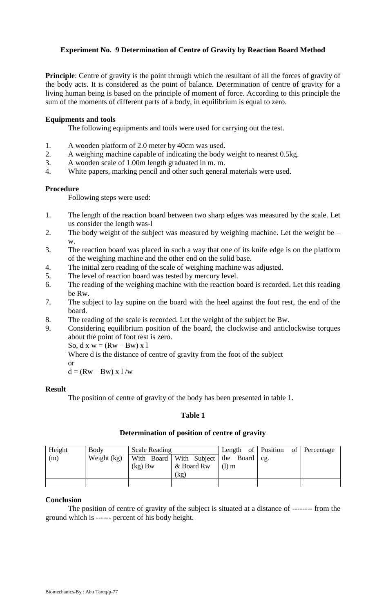## **Experiment No. 9 Determination of Centre of Gravity by Reaction Board Method**

**Principle**: Centre of gravity is the point through which the resultant of all the forces of gravity of the body acts. It is considered as the point of balance. Determination of centre of gravity for a living human being is based on the principle of moment of force. According to this principle the sum of the moments of different parts of a body, in equilibrium is equal to zero.

## **Equipments and tools**

The following equipments and tools were used for carrying out the test.

- 1. A wooden platform of 2.0 meter by 40cm was used.
- 2. A weighing machine capable of indicating the body weight to nearest 0.5kg.<br>3. A wooden scale of 1.00m length graduated in m. m.
- 3. A wooden scale of 1.00m length graduated in m. m.
- 4. White papers, marking pencil and other such general materials were used.

### **Procedure**

Following steps were used:

- 1. The length of the reaction board between two sharp edges was measured by the scale. Let us consider the length was-l
- 2. The body weight of the subject was measured by weighing machine. Let the weight be w.
- 3. The reaction board was placed in such a way that one of its knife edge is on the platform of the weighing machine and the other end on the solid base.
- 4. The initial zero reading of the scale of weighing machine was adjusted.
- 5. The level of reaction board was tested by mercury level.
- 6. The reading of the weighing machine with the reaction board is recorded. Let this reading be Rw.
- 7. The subject to lay supine on the board with the heel against the foot rest, the end of the board.
- 8. The reading of the scale is recorded. Let the weight of the subject be Bw.
- 9. Considering equilibrium position of the board, the clockwise and anticlockwise torques about the point of foot rest is zero.

So, d x  $w = (Rw - Bw)$  x 1

Where d is the distance of centre of gravity from the foot of the subject

or

 $d = (Rw - Bw) \times 1/w$ 

## **Result**

The position of centre of gravity of the body has been presented in table 1.

## **Table 1**

### **Determination of position of centre of gravity**

| Height | Body          | <b>Scale Reading</b> |                                                           |         | Length of Position of Percentage |  |
|--------|---------------|----------------------|-----------------------------------------------------------|---------|----------------------------------|--|
| (m)    | Weight $(kg)$ | $(kg)$ Bw            | With Board   With Subject   the Board   cg.<br>& Board Rw | $(l)$ m |                                  |  |
|        |               |                      | (kg)                                                      |         |                                  |  |

### **Conclusion**

The position of centre of gravity of the subject is situated at a distance of -------- from the ground which is ------ percent of his body height.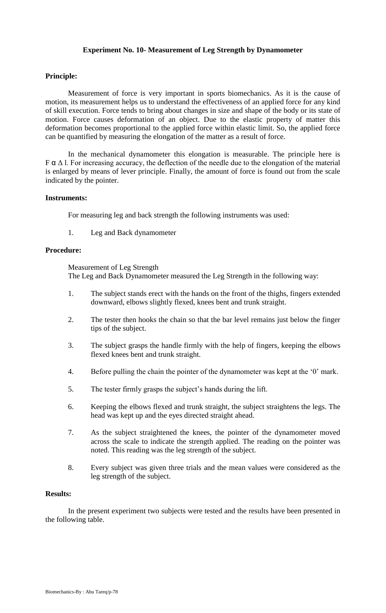### **Experiment No. 10- Measurement of Leg Strength by Dynamometer**

#### **Principle:**

Measurement of force is very important in sports biomechanics. As it is the cause of motion, its measurement helps us to understand the effectiveness of an applied force for any kind of skill execution. Force tends to bring about changes in size and shape of the body or its state of motion. Force causes deformation of an object. Due to the elastic property of matter this deformation becomes proportional to the applied force within elastic limit. So, the applied force can be quantified by measuring the elongation of the matter as a result of force.

In the mechanical dynamometer this elongation is measurable. The principle here is  $F \alpha \Delta 1$ . For increasing accuracy, the deflection of the needle due to the elongation of the material is enlarged by means of lever principle. Finally, the amount of force is found out from the scale indicated by the pointer.

#### **Instruments:**

For measuring leg and back strength the following instruments was used:

1. Leg and Back dynamometer

### **Procedure:**

Measurement of Leg Strength

The Leg and Back Dynamometer measured the Leg Strength in the following way:

- 1. The subject stands erect with the hands on the front of the thighs, fingers extended downward, elbows slightly flexed, knees bent and trunk straight.
- 2. The tester then hooks the chain so that the bar level remains just below the finger tips of the subject.
- 3. The subject grasps the handle firmly with the help of fingers, keeping the elbows flexed knees bent and trunk straight.
- 4. Before pulling the chain the pointer of the dynamometer was kept at the '0' mark.
- 5. The tester firmly grasps the subject's hands during the lift.
- 6. Keeping the elbows flexed and trunk straight, the subject straightens the legs. The head was kept up and the eyes directed straight ahead.
- 7. As the subject straightened the knees, the pointer of the dynamometer moved across the scale to indicate the strength applied. The reading on the pointer was noted. This reading was the leg strength of the subject.
- 8. Every subject was given three trials and the mean values were considered as the leg strength of the subject.

# **Results:**

In the present experiment two subjects were tested and the results have been presented in the following table.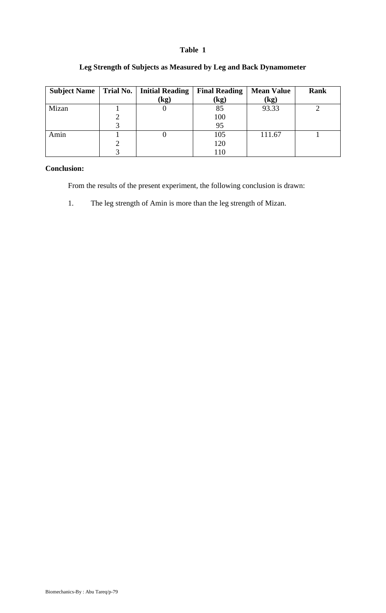## **Table 1**

| <b>Subject Name</b> | Trial No.   Initial Reading | <b>Final Reading</b> | <b>Mean Value</b>          | <b>Rank</b> |
|---------------------|-----------------------------|----------------------|----------------------------|-------------|
|                     | (kg)                        | (kg)                 | $\left(\mathrm{kg}\right)$ |             |
| Mizan               |                             | 85                   | 93.33                      |             |
|                     |                             | 100                  |                            |             |
|                     |                             | 95                   |                            |             |
| Amin                |                             | 105                  | 111.67                     |             |
|                     |                             | 120                  |                            |             |
|                     |                             | 110                  |                            |             |

# **Leg Strength of Subjects as Measured by Leg and Back Dynamometer**

## **Conclusion:**

From the results of the present experiment, the following conclusion is drawn:

1. The leg strength of Amin is more than the leg strength of Mizan.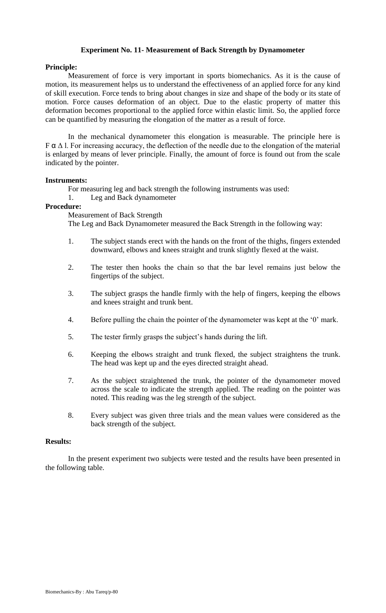### **Experiment No. 11- Measurement of Back Strength by Dynamometer**

### **Principle:**

Measurement of force is very important in sports biomechanics. As it is the cause of motion, its measurement helps us to understand the effectiveness of an applied force for any kind of skill execution. Force tends to bring about changes in size and shape of the body or its state of motion. Force causes deformation of an object. Due to the elastic property of matter this deformation becomes proportional to the applied force within elastic limit. So, the applied force can be quantified by measuring the elongation of the matter as a result of force.

In the mechanical dynamometer this elongation is measurable. The principle here is  $F \alpha \Delta 1$ . For increasing accuracy, the deflection of the needle due to the elongation of the material is enlarged by means of lever principle. Finally, the amount of force is found out from the scale indicated by the pointer.

#### **Instruments:**

For measuring leg and back strength the following instruments was used:

### 1. Leg and Back dynamometer

### **Procedure:**

Measurement of Back Strength

The Leg and Back Dynamometer measured the Back Strength in the following way:

- 1. The subject stands erect with the hands on the front of the thighs, fingers extended downward, elbows and knees straight and trunk slightly flexed at the waist.
- 2. The tester then hooks the chain so that the bar level remains just below the fingertips of the subject.
- 3. The subject grasps the handle firmly with the help of fingers, keeping the elbows and knees straight and trunk bent.
- 4. Before pulling the chain the pointer of the dynamometer was kept at the '0' mark.
- 5. The tester firmly grasps the subject's hands during the lift.
- 6. Keeping the elbows straight and trunk flexed, the subject straightens the trunk. The head was kept up and the eyes directed straight ahead.
- 7. As the subject straightened the trunk, the pointer of the dynamometer moved across the scale to indicate the strength applied. The reading on the pointer was noted. This reading was the leg strength of the subject.
- 8. Every subject was given three trials and the mean values were considered as the back strength of the subject.

### **Results:**

In the present experiment two subjects were tested and the results have been presented in the following table.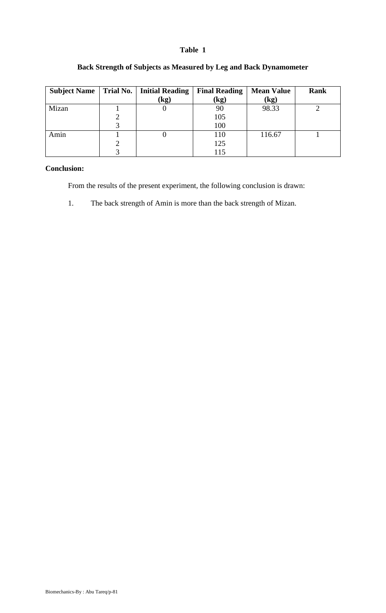## **Table 1**

| <b>Subject Name</b> | Trial No.   Initial Reading | <b>Final Reading</b>       | <b>Mean Value</b> | Rank |
|---------------------|-----------------------------|----------------------------|-------------------|------|
|                     | $\left(\mathbf{kg}\right)$  | $\left(\mathbf{kg}\right)$ | (kg)              |      |
| Mizan               |                             | 90                         | 98.33             |      |
|                     |                             | 105                        |                   |      |
|                     |                             | 100                        |                   |      |
| Amin                |                             | 110                        | 116.67            |      |
|                     |                             | 125                        |                   |      |
|                     |                             |                            |                   |      |

# **Back Strength of Subjects as Measured by Leg and Back Dynamometer**

# **Conclusion:**

From the results of the present experiment, the following conclusion is drawn:

1. The back strength of Amin is more than the back strength of Mizan.